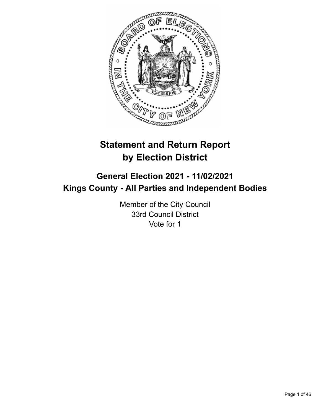

# **Statement and Return Report by Election District**

# **General Election 2021 - 11/02/2021 Kings County - All Parties and Independent Bodies**

Member of the City Council 33rd Council District Vote for 1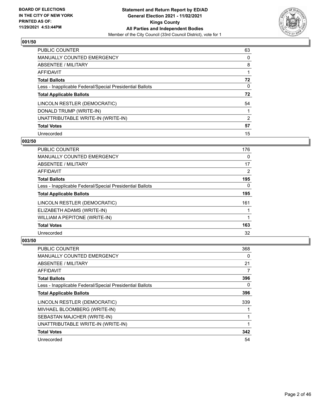

| PUBLIC COUNTER                                           | 63       |
|----------------------------------------------------------|----------|
| MANUALLY COUNTED EMERGENCY                               | 0        |
| ABSENTEE / MILITARY                                      | 8        |
| AFFIDAVIT                                                |          |
| <b>Total Ballots</b>                                     | 72       |
| Less - Inapplicable Federal/Special Presidential Ballots | $\Omega$ |
| <b>Total Applicable Ballots</b>                          | 72       |
| LINCOLN RESTLER (DEMOCRATIC)                             | 54       |
| DONALD TRUMP (WRITE-IN)                                  |          |
| UNATTRIBUTABLE WRITE-IN (WRITE-IN)                       | 2        |
| <b>Total Votes</b>                                       | 57       |
| Unrecorded                                               | 15       |

#### **002/50**

| PUBLIC COUNTER                                           | 176      |
|----------------------------------------------------------|----------|
| <b>MANUALLY COUNTED EMERGENCY</b>                        | 0        |
| <b>ABSENTEE / MILITARY</b>                               | 17       |
| <b>AFFIDAVIT</b>                                         | 2        |
| <b>Total Ballots</b>                                     | 195      |
| Less - Inapplicable Federal/Special Presidential Ballots | $\Omega$ |
| <b>Total Applicable Ballots</b>                          | 195      |
| LINCOLN RESTLER (DEMOCRATIC)                             | 161      |
| ELIZABETH ADAMS (WRITE-IN)                               |          |
| WILLIAM A PEPITONE (WRITE-IN)                            |          |
| <b>Total Votes</b>                                       | 163      |
| Unrecorded                                               | 32       |

| PUBLIC COUNTER                                           | 368 |
|----------------------------------------------------------|-----|
| MANUALLY COUNTED EMERGENCY                               | 0   |
| ABSENTEE / MILITARY                                      | 21  |
| AFFIDAVIT                                                | 7   |
| <b>Total Ballots</b>                                     | 396 |
| Less - Inapplicable Federal/Special Presidential Ballots | 0   |
| <b>Total Applicable Ballots</b>                          | 396 |
| LINCOLN RESTLER (DEMOCRATIC)                             | 339 |
| MIVHAEL BLOOMBERG (WRITE-IN)                             |     |
| SEBASTAN MAJCHER (WRITE-IN)                              |     |
| UNATTRIBUTABLE WRITE-IN (WRITE-IN)                       |     |
| <b>Total Votes</b>                                       | 342 |
| Unrecorded                                               | 54  |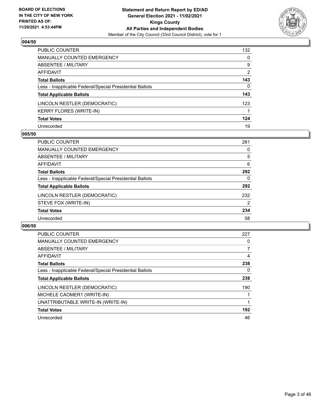

| PUBLIC COUNTER                                           | 132            |
|----------------------------------------------------------|----------------|
| MANUALLY COUNTED EMERGENCY                               | 0              |
| ABSENTEE / MILITARY                                      | 9              |
| AFFIDAVIT                                                | $\overline{2}$ |
| Total Ballots                                            | 143            |
| Less - Inapplicable Federal/Special Presidential Ballots | 0              |
| <b>Total Applicable Ballots</b>                          | 143            |
| LINCOLN RESTLER (DEMOCRATIC)                             | 123            |
| KERRY FLORES (WRITE-IN)                                  |                |
| <b>Total Votes</b>                                       | 124            |
| Unrecorded                                               | 19             |

## **005/50**

| <b>PUBLIC COUNTER</b>                                    | 281 |
|----------------------------------------------------------|-----|
| <b>MANUALLY COUNTED EMERGENCY</b>                        | 0   |
| <b>ABSENTEE / MILITARY</b>                               | 5   |
| AFFIDAVIT                                                | 6   |
| <b>Total Ballots</b>                                     | 292 |
| Less - Inapplicable Federal/Special Presidential Ballots | 0   |
| <b>Total Applicable Ballots</b>                          | 292 |
| LINCOLN RESTLER (DEMOCRATIC)                             | 232 |
| STEVE FOX (WRITE-IN)                                     | 2   |
| <b>Total Votes</b>                                       | 234 |
| Unrecorded                                               | 58  |

| PUBLIC COUNTER                                           | 227 |
|----------------------------------------------------------|-----|
| <b>MANUALLY COUNTED EMERGENCY</b>                        | 0   |
| ABSENTEE / MILITARY                                      |     |
| AFFIDAVIT                                                | 4   |
| <b>Total Ballots</b>                                     | 238 |
| Less - Inapplicable Federal/Special Presidential Ballots | 0   |
| <b>Total Applicable Ballots</b>                          | 238 |
| LINCOLN RESTLER (DEMOCRATIC)                             | 190 |
| MICHELE CAOMER1 (WRITE-IN)                               |     |
| UNATTRIBUTABLE WRITE-IN (WRITE-IN)                       |     |
| <b>Total Votes</b>                                       | 192 |
| Unrecorded                                               | 46  |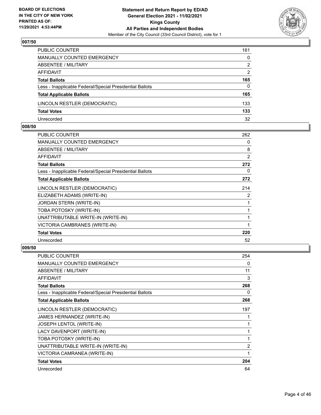

| PUBLIC COUNTER                                           | 161           |
|----------------------------------------------------------|---------------|
| MANUALLY COUNTED EMERGENCY                               | 0             |
| <b>ABSENTEE / MILITARY</b>                               | 2             |
| AFFIDAVIT                                                | $\mathcal{P}$ |
| <b>Total Ballots</b>                                     | 165           |
| Less - Inapplicable Federal/Special Presidential Ballots | $\Omega$      |
| <b>Total Applicable Ballots</b>                          | 165           |
| LINCOLN RESTLER (DEMOCRATIC)                             | 133           |
| <b>Total Votes</b>                                       | 133           |
| Unrecorded                                               | 32            |

## **008/50**

| PUBLIC COUNTER                                           | 262            |
|----------------------------------------------------------|----------------|
| <b>MANUALLY COUNTED EMERGENCY</b>                        | 0              |
| <b>ABSENTEE / MILITARY</b>                               | 8              |
| <b>AFFIDAVIT</b>                                         | $\overline{2}$ |
| <b>Total Ballots</b>                                     | 272            |
| Less - Inapplicable Federal/Special Presidential Ballots | 0              |
| <b>Total Applicable Ballots</b>                          | 272            |
| LINCOLN RESTLER (DEMOCRATIC)                             | 214            |
| ELIZABETH ADAMS (WRITE-IN)                               | 2              |
| <b>JORDAN STERN (WRITE-IN)</b>                           | 1              |
| TOBA POTOSKY (WRITE-IN)                                  |                |
| UNATTRIBUTABLE WRITE-IN (WRITE-IN)                       |                |
| VICTORIA CAMBRANES (WRITE-IN)                            | 1              |
| <b>Total Votes</b>                                       | 220            |
| Unrecorded                                               | 52             |
|                                                          |                |

| <b>PUBLIC COUNTER</b>                                    | 254            |
|----------------------------------------------------------|----------------|
| <b>MANUALLY COUNTED EMERGENCY</b>                        | 0              |
| ABSENTEE / MILITARY                                      | 11             |
| <b>AFFIDAVIT</b>                                         | 3              |
| <b>Total Ballots</b>                                     | 268            |
| Less - Inapplicable Federal/Special Presidential Ballots | 0              |
| <b>Total Applicable Ballots</b>                          | 268            |
| LINCOLN RESTLER (DEMOCRATIC)                             | 197            |
| JAMES HERNANDEZ (WRITE-IN)                               | 1              |
| JOSEPH LENTOL (WRITE-IN)                                 | 1              |
| LACY DAVENPORT (WRITE-IN)                                | 1              |
| TOBA POTOSKY (WRITE-IN)                                  | 1              |
| UNATTRIBUTABLE WRITE-IN (WRITE-IN)                       | $\overline{2}$ |
| VICTORIA CAMRANEA (WRITE-IN)                             | 1              |
| <b>Total Votes</b>                                       | 204            |
| Unrecorded                                               | 64             |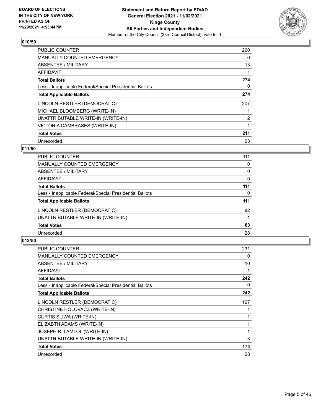

| <b>PUBLIC COUNTER</b>                                    | 260 |
|----------------------------------------------------------|-----|
| <b>MANUALLY COUNTED EMERGENCY</b>                        | 0   |
| ABSENTEE / MILITARY                                      | 13  |
| AFFIDAVIT                                                | 1   |
| <b>Total Ballots</b>                                     | 274 |
| Less - Inapplicable Federal/Special Presidential Ballots | 0   |
| <b>Total Applicable Ballots</b>                          | 274 |
| LINCOLN RESTLER (DEMOCRATIC)                             | 207 |
| MICHAEL BLOOMBERG (WRITE-IN)                             |     |
| UNATTRIBUTABLE WRITE-IN (WRITE-IN)                       | 2   |
| VICTORIA CAMBRASES (WRITE-IN)                            |     |
| <b>Total Votes</b>                                       | 211 |
| Unrecorded                                               | 63  |

## **011/50**

| <b>PUBLIC COUNTER</b>                                    | 111 |
|----------------------------------------------------------|-----|
| <b>MANUALLY COUNTED EMERGENCY</b>                        | 0   |
| ABSENTEE / MILITARY                                      | 0   |
| <b>AFFIDAVIT</b>                                         | 0   |
| <b>Total Ballots</b>                                     | 111 |
| Less - Inapplicable Federal/Special Presidential Ballots | 0   |
| <b>Total Applicable Ballots</b>                          | 111 |
| LINCOLN RESTLER (DEMOCRATIC)                             | 82  |
| UNATTRIBUTABLE WRITE-IN (WRITE-IN)                       |     |
| <b>Total Votes</b>                                       | 83  |
| Unrecorded                                               | 28  |
|                                                          |     |

| <b>PUBLIC COUNTER</b>                                    | 231 |
|----------------------------------------------------------|-----|
| <b>MANUALLY COUNTED EMERGENCY</b>                        | 0   |
| ABSENTEE / MILITARY                                      | 10  |
| AFFIDAVIT                                                |     |
| <b>Total Ballots</b>                                     | 242 |
| Less - Inapplicable Federal/Special Presidential Ballots | 0   |
| <b>Total Applicable Ballots</b>                          | 242 |
| LINCOLN RESTLER (DEMOCRATIC)                             | 167 |
| CHRISTINE HOLOVACZ (WRITE-IN)                            |     |
| CURTIS SLIWA (WRITE-IN)                                  |     |
| ELIZABTH ADAMS (WRITE-IN)                                | 1   |
| JOSEPH R. LAMTOL (WRITE-IN)                              | 1   |
| UNATTRIBUTABLE WRITE-IN (WRITE-IN)                       | 3   |
| <b>Total Votes</b>                                       | 174 |
| Unrecorded                                               | 68  |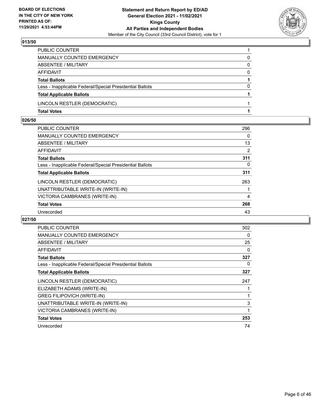

| PUBLIC COUNTER                                           |          |
|----------------------------------------------------------|----------|
| MANUALLY COUNTED EMERGENCY                               | 0        |
| ABSENTEE / MILITARY                                      | 0        |
| AFFIDAVIT                                                | $\Omega$ |
| <b>Total Ballots</b>                                     |          |
| Less - Inapplicable Federal/Special Presidential Ballots | $\Omega$ |
| <b>Total Applicable Ballots</b>                          |          |
| LINCOLN RESTLER (DEMOCRATIC)                             |          |
| <b>Total Votes</b>                                       |          |

## **026/50**

| <b>PUBLIC COUNTER</b>                                    | 296            |
|----------------------------------------------------------|----------------|
| MANUALLY COUNTED EMERGENCY                               | 0              |
| ABSENTEE / MILITARY                                      | 13             |
| AFFIDAVIT                                                | 2              |
| <b>Total Ballots</b>                                     | 311            |
| Less - Inapplicable Federal/Special Presidential Ballots | 0              |
| <b>Total Applicable Ballots</b>                          | 311            |
| LINCOLN RESTLER (DEMOCRATIC)                             | 263            |
| UNATTRIBUTABLE WRITE-IN (WRITE-IN)                       | 1              |
| VICTORIA CAMBRANES (WRITE-IN)                            | $\overline{4}$ |
| <b>Total Votes</b>                                       | 268            |
| Unrecorded                                               | 43             |

| <b>PUBLIC COUNTER</b>                                    | 302 |
|----------------------------------------------------------|-----|
| <b>MANUALLY COUNTED EMERGENCY</b>                        | 0   |
| ABSENTEE / MILITARY                                      | 25  |
| AFFIDAVIT                                                | 0   |
| <b>Total Ballots</b>                                     | 327 |
| Less - Inapplicable Federal/Special Presidential Ballots | 0   |
| <b>Total Applicable Ballots</b>                          | 327 |
| LINCOLN RESTLER (DEMOCRATIC)                             | 247 |
| ELIZABETH ADAMS (WRITE-IN)                               |     |
| <b>GREG FILIPOVICH (WRITE-IN)</b>                        |     |
| UNATTRIBUTABLE WRITE-IN (WRITE-IN)                       | 3   |
| VICTORIA CAMBRANES (WRITE-IN)                            | 1   |
| <b>Total Votes</b>                                       | 253 |
| Unrecorded                                               | 74  |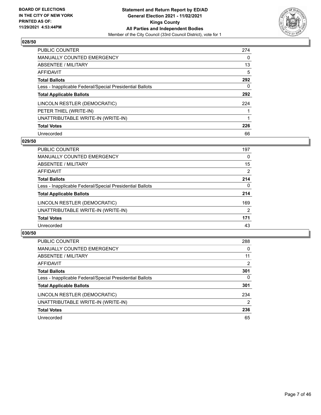

| <b>PUBLIC COUNTER</b>                                    | 274 |
|----------------------------------------------------------|-----|
| <b>MANUALLY COUNTED EMERGENCY</b>                        | 0   |
| ABSENTEE / MILITARY                                      | 13  |
| AFFIDAVIT                                                | 5   |
| <b>Total Ballots</b>                                     | 292 |
| Less - Inapplicable Federal/Special Presidential Ballots | 0   |
| <b>Total Applicable Ballots</b>                          | 292 |
| LINCOLN RESTLER (DEMOCRATIC)                             | 224 |
| PETER THIEL (WRITE-IN)                                   |     |
| UNATTRIBUTABLE WRITE-IN (WRITE-IN)                       |     |
| <b>Total Votes</b>                                       | 226 |
| Unrecorded                                               | 66  |

#### **029/50**

| <b>PUBLIC COUNTER</b>                                    | 197            |
|----------------------------------------------------------|----------------|
| <b>MANUALLY COUNTED EMERGENCY</b>                        | 0              |
| ABSENTEE / MILITARY                                      | 15             |
| AFFIDAVIT                                                | 2              |
| <b>Total Ballots</b>                                     | 214            |
| Less - Inapplicable Federal/Special Presidential Ballots | $\Omega$       |
| <b>Total Applicable Ballots</b>                          | 214            |
| LINCOLN RESTLER (DEMOCRATIC)                             | 169            |
| UNATTRIBUTABLE WRITE-IN (WRITE-IN)                       | $\overline{2}$ |
| <b>Total Votes</b>                                       | 171            |
| Unrecorded                                               | 43             |

| <b>PUBLIC COUNTER</b>                                    | 288      |
|----------------------------------------------------------|----------|
| <b>MANUALLY COUNTED EMERGENCY</b>                        | $\Omega$ |
| ABSENTEE / MILITARY                                      | 11       |
| AFFIDAVIT                                                | 2        |
| <b>Total Ballots</b>                                     | 301      |
| Less - Inapplicable Federal/Special Presidential Ballots | 0        |
| <b>Total Applicable Ballots</b>                          | 301      |
| LINCOLN RESTLER (DEMOCRATIC)                             | 234      |
| UNATTRIBUTABLE WRITE-IN (WRITE-IN)                       | 2        |
| <b>Total Votes</b>                                       | 236      |
| Unrecorded                                               | 65       |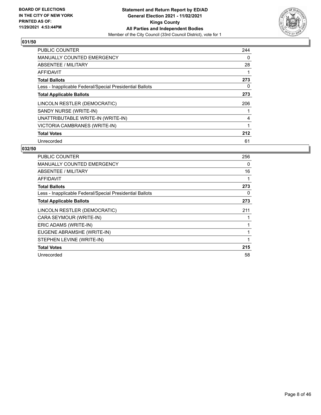

| PUBLIC COUNTER                                           | 244 |
|----------------------------------------------------------|-----|
| <b>MANUALLY COUNTED EMERGENCY</b>                        | 0   |
| ABSENTEE / MILITARY                                      | 28  |
| <b>AFFIDAVIT</b>                                         | 1   |
| <b>Total Ballots</b>                                     | 273 |
| Less - Inapplicable Federal/Special Presidential Ballots | 0   |
| <b>Total Applicable Ballots</b>                          | 273 |
| LINCOLN RESTLER (DEMOCRATIC)                             | 206 |
| SANDY NURSE (WRITE-IN)                                   |     |
| UNATTRIBUTABLE WRITE-IN (WRITE-IN)                       | 4   |
| VICTORIA CAMBRANES (WRITE-IN)                            | 1   |
| <b>Total Votes</b>                                       | 212 |
| Unrecorded                                               | 61  |

| PUBLIC COUNTER                                           | 256 |
|----------------------------------------------------------|-----|
| <b>MANUALLY COUNTED EMERGENCY</b>                        | 0   |
| ABSENTEE / MILITARY                                      | 16  |
| <b>AFFIDAVIT</b>                                         | 1   |
| <b>Total Ballots</b>                                     | 273 |
| Less - Inapplicable Federal/Special Presidential Ballots | 0   |
| <b>Total Applicable Ballots</b>                          | 273 |
| LINCOLN RESTLER (DEMOCRATIC)                             | 211 |
| CARA SEYMOUR (WRITE-IN)                                  |     |
| ERIC ADAMS (WRITE-IN)                                    |     |
| EUGENE ABRAMSHE (WRITE-IN)                               | 1   |
| STEPHEN LEVINE (WRITE-IN)                                |     |
| <b>Total Votes</b>                                       | 215 |
| Unrecorded                                               | 58  |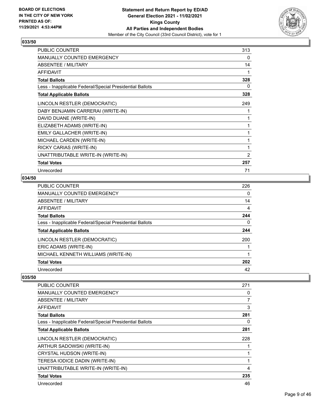

| PUBLIC COUNTER                                           | 313 |
|----------------------------------------------------------|-----|
| MANUALLY COUNTED EMERGENCY                               | 0   |
| <b>ABSENTEE / MILITARY</b>                               | 14  |
| <b>AFFIDAVIT</b>                                         | 1   |
| <b>Total Ballots</b>                                     | 328 |
| Less - Inapplicable Federal/Special Presidential Ballots | 0   |
| <b>Total Applicable Ballots</b>                          | 328 |
| LINCOLN RESTLER (DEMOCRATIC)                             | 249 |
| DABY BENJAMIN CARRERAI (WRITE-IN)                        | 1   |
| DAVID DUANE (WRITE-IN)                                   | 1   |
| ELIZABETH ADAMS (WRITE-IN)                               | 1   |
| EMILY GALLACHER (WRITE-IN)                               | 1   |
| MICHAEL CARDEN (WRITE-IN)                                | 1   |
| RICKY CARIAS (WRITE-IN)                                  | 1   |
| UNATTRIBUTABLE WRITE-IN (WRITE-IN)                       | 2   |
| <b>Total Votes</b>                                       | 257 |
| Unrecorded                                               | 71  |

## **034/50**

| PUBLIC COUNTER                                           | 226 |
|----------------------------------------------------------|-----|
| <b>MANUALLY COUNTED EMERGENCY</b>                        | 0   |
| ABSENTEE / MILITARY                                      | 14  |
| AFFIDAVIT                                                | 4   |
| <b>Total Ballots</b>                                     | 244 |
| Less - Inapplicable Federal/Special Presidential Ballots | 0   |
| <b>Total Applicable Ballots</b>                          | 244 |
| LINCOLN RESTLER (DEMOCRATIC)                             | 200 |
| ERIC ADAMS (WRITE-IN)                                    |     |
| MICHAEL KENNETH WILLIAMS (WRITE-IN)                      |     |
| <b>Total Votes</b>                                       | 202 |
| Unrecorded                                               | 42  |

| PUBLIC COUNTER                                           | 271 |
|----------------------------------------------------------|-----|
| <b>MANUALLY COUNTED EMERGENCY</b>                        | 0   |
| ABSENTEE / MILITARY                                      | 7   |
| AFFIDAVIT                                                | 3   |
| <b>Total Ballots</b>                                     | 281 |
| Less - Inapplicable Federal/Special Presidential Ballots | 0   |
| <b>Total Applicable Ballots</b>                          | 281 |
| LINCOLN RESTLER (DEMOCRATIC)                             | 228 |
| ARTHUR SADOWSKI (WRITE-IN)                               |     |
| <b>CRYSTAL HUDSON (WRITE-IN)</b>                         | 1   |
| TERESA IODICE DADIN (WRITE-IN)                           | 1   |
| UNATTRIBUTABLE WRITE-IN (WRITE-IN)                       | 4   |
| <b>Total Votes</b>                                       | 235 |
| Unrecorded                                               | 46  |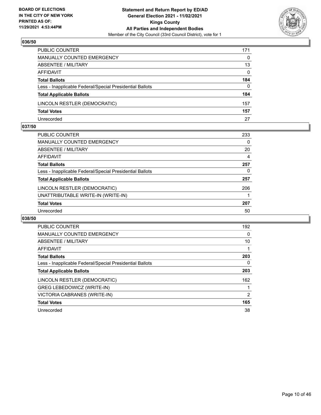

| PUBLIC COUNTER                                           | 171          |
|----------------------------------------------------------|--------------|
| MANUALLY COUNTED EMERGENCY                               | $\Omega$     |
| <b>ABSENTEE / MILITARY</b>                               | 13           |
| AFFIDAVIT                                                | $\mathbf{0}$ |
| <b>Total Ballots</b>                                     | 184          |
| Less - Inapplicable Federal/Special Presidential Ballots | $\mathbf{0}$ |
| <b>Total Applicable Ballots</b>                          | 184          |
| LINCOLN RESTLER (DEMOCRATIC)                             | 157          |
| <b>Total Votes</b>                                       | 157          |
| Unrecorded                                               | 27           |

#### **037/50**

| PUBLIC COUNTER                                           | 233            |
|----------------------------------------------------------|----------------|
| <b>MANUALLY COUNTED EMERGENCY</b>                        | 0              |
| ABSENTEE / MILITARY                                      | 20             |
| AFFIDAVIT                                                | $\overline{4}$ |
| <b>Total Ballots</b>                                     | 257            |
| Less - Inapplicable Federal/Special Presidential Ballots | 0              |
| <b>Total Applicable Ballots</b>                          | 257            |
| LINCOLN RESTLER (DEMOCRATIC)                             | 206            |
| UNATTRIBUTABLE WRITE-IN (WRITE-IN)                       |                |
| <b>Total Votes</b>                                       | 207            |
| Unrecorded                                               | 50             |
|                                                          |                |

| PUBLIC COUNTER                                           | 192 |
|----------------------------------------------------------|-----|
| <b>MANUALLY COUNTED EMERGENCY</b>                        | 0   |
| ABSENTEE / MILITARY                                      | 10  |
| AFFIDAVIT                                                |     |
| <b>Total Ballots</b>                                     | 203 |
| Less - Inapplicable Federal/Special Presidential Ballots | 0   |
| <b>Total Applicable Ballots</b>                          | 203 |
| LINCOLN RESTLER (DEMOCRATIC)                             | 162 |
| GREG LEBEDOWICZ (WRITE-IN)                               |     |
| VICTORIA CABRANES (WRITE-IN)                             | 2   |
| <b>Total Votes</b>                                       | 165 |
| Unrecorded                                               | 38  |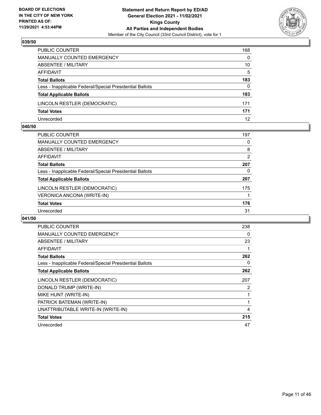

| PUBLIC COUNTER                                           | 168      |
|----------------------------------------------------------|----------|
| <b>MANUALLY COUNTED EMERGENCY</b>                        | $\Omega$ |
| <b>ABSENTEE / MILITARY</b>                               | 10       |
| AFFIDAVIT                                                | 5        |
| <b>Total Ballots</b>                                     | 183      |
| Less - Inapplicable Federal/Special Presidential Ballots | $\Omega$ |
| <b>Total Applicable Ballots</b>                          | 183      |
| LINCOLN RESTLER (DEMOCRATIC)                             | 171      |
| <b>Total Votes</b>                                       | 171      |
| Unrecorded                                               | 12       |

#### **040/50**

| PUBLIC COUNTER                                           | 197 |
|----------------------------------------------------------|-----|
| <b>MANUALLY COUNTED EMERGENCY</b>                        | 0   |
| ABSENTEE / MILITARY                                      | 8   |
| AFFIDAVIT                                                | 2   |
| <b>Total Ballots</b>                                     | 207 |
| Less - Inapplicable Federal/Special Presidential Ballots | 0   |
| <b>Total Applicable Ballots</b>                          | 207 |
| LINCOLN RESTLER (DEMOCRATIC)                             | 175 |
| VERONICA ANCONA (WRITE-IN)                               |     |
| <b>Total Votes</b>                                       | 176 |
| Unrecorded                                               | 31  |
|                                                          |     |

| <b>PUBLIC COUNTER</b>                                    | 238 |
|----------------------------------------------------------|-----|
| <b>MANUALLY COUNTED EMERGENCY</b>                        | 0   |
| ABSENTEE / MILITARY                                      | 23  |
| AFFIDAVIT                                                | 1   |
| <b>Total Ballots</b>                                     | 262 |
| Less - Inapplicable Federal/Special Presidential Ballots | 0   |
| <b>Total Applicable Ballots</b>                          | 262 |
| LINCOLN RESTLER (DEMOCRATIC)                             | 207 |
| DONALD TRUMP (WRITE-IN)                                  | 2   |
| MIKE HUNT (WRITE-IN)                                     | 1   |
| PATRICK BATEMAN (WRITE-IN)                               | 1   |
| UNATTRIBUTABLE WRITE-IN (WRITE-IN)                       | 4   |
|                                                          |     |
| <b>Total Votes</b>                                       | 215 |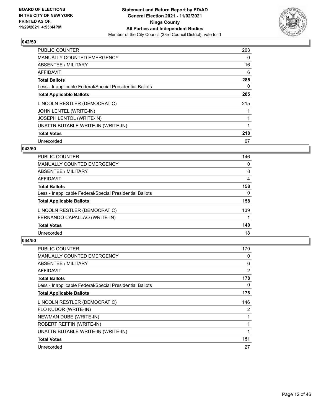

| <b>PUBLIC COUNTER</b>                                    | 263 |
|----------------------------------------------------------|-----|
| MANUALLY COUNTED EMERGENCY                               | 0   |
| ABSENTEE / MILITARY                                      | 16  |
| <b>AFFIDAVIT</b>                                         | 6   |
| <b>Total Ballots</b>                                     | 285 |
| Less - Inapplicable Federal/Special Presidential Ballots | 0   |
| <b>Total Applicable Ballots</b>                          | 285 |
| LINCOLN RESTLER (DEMOCRATIC)                             | 215 |
| JOHN LENTEL (WRITE-IN)                                   |     |
| JOSEPH LENTOL (WRITE-IN)                                 |     |
| UNATTRIBUTABLE WRITE-IN (WRITE-IN)                       |     |
| <b>Total Votes</b>                                       | 218 |
| Unrecorded                                               | 67  |

## **043/50**

| 146 |
|-----|
| 0   |
| 8   |
| 4   |
| 158 |
| 0   |
| 158 |
| 139 |
|     |
| 140 |
| 18  |
|     |

| <b>PUBLIC COUNTER</b>                                    | 170 |
|----------------------------------------------------------|-----|
| <b>MANUALLY COUNTED EMERGENCY</b>                        | 0   |
| ABSENTEE / MILITARY                                      | 6   |
| AFFIDAVIT                                                | 2   |
| <b>Total Ballots</b>                                     | 178 |
| Less - Inapplicable Federal/Special Presidential Ballots | 0   |
| <b>Total Applicable Ballots</b>                          | 178 |
| LINCOLN RESTLER (DEMOCRATIC)                             | 146 |
| FLO KUDOR (WRITE-IN)                                     | 2   |
| NEWMAN DUBE (WRITE-IN)                                   |     |
| ROBERT REFFIN (WRITE-IN)                                 | 1   |
| UNATTRIBUTABLE WRITE-IN (WRITE-IN)                       | 1   |
| <b>Total Votes</b>                                       | 151 |
| Unrecorded                                               | 27  |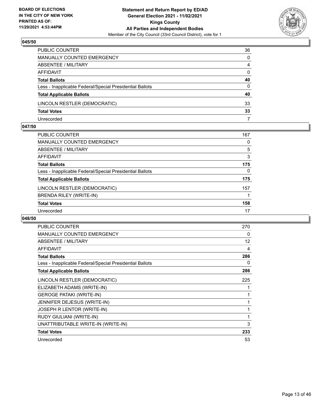

| PUBLIC COUNTER                                           | 36           |
|----------------------------------------------------------|--------------|
| <b>MANUALLY COUNTED EMERGENCY</b>                        | $\Omega$     |
| <b>ABSENTEE / MILITARY</b>                               | 4            |
| AFFIDAVIT                                                | $\mathbf{0}$ |
| <b>Total Ballots</b>                                     | 40           |
| Less - Inapplicable Federal/Special Presidential Ballots | $\Omega$     |
| <b>Total Applicable Ballots</b>                          | 40           |
| LINCOLN RESTLER (DEMOCRATIC)                             | 33           |
| <b>Total Votes</b>                                       | 33           |
| Unrecorded                                               |              |

#### **047/50**

| <b>PUBLIC COUNTER</b>                                    | 167 |
|----------------------------------------------------------|-----|
| <b>MANUALLY COUNTED EMERGENCY</b>                        | 0   |
| ABSENTEE / MILITARY                                      | 5   |
| AFFIDAVIT                                                | 3   |
| <b>Total Ballots</b>                                     | 175 |
| Less - Inapplicable Federal/Special Presidential Ballots | 0   |
| <b>Total Applicable Ballots</b>                          | 175 |
| LINCOLN RESTLER (DEMOCRATIC)                             | 157 |
| BRENDA RILEY (WRITE-IN)                                  |     |
| <b>Total Votes</b>                                       | 158 |
| Unrecorded                                               | 17  |
|                                                          |     |

| <b>PUBLIC COUNTER</b>                                    | 270 |
|----------------------------------------------------------|-----|
| MANUALLY COUNTED EMERGENCY                               | 0   |
| ABSENTEE / MILITARY                                      | 12  |
| <b>AFFIDAVIT</b>                                         | 4   |
| <b>Total Ballots</b>                                     | 286 |
| Less - Inapplicable Federal/Special Presidential Ballots | 0   |
| <b>Total Applicable Ballots</b>                          | 286 |
| LINCOLN RESTLER (DEMOCRATIC)                             | 225 |
| ELIZABETH ADAMS (WRITE-IN)                               |     |
| <b>GEROGE PATAKI (WRITE-IN)</b>                          | 1   |
| JENNIFER DEJESUS (WRITE-IN)                              | 1   |
| JOSEPH R LENTOR (WRITE-IN)                               | 1   |
| RUDY GIULIANI (WRITE-IN)                                 | 1   |
| UNATTRIBUTABLE WRITE-IN (WRITE-IN)                       | 3   |
| <b>Total Votes</b>                                       | 233 |
| Unrecorded                                               | 53  |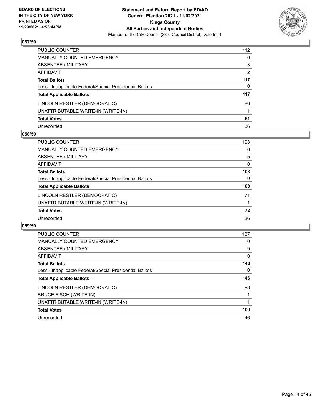

| PUBLIC COUNTER                                           | 112            |
|----------------------------------------------------------|----------------|
| MANUALLY COUNTED EMERGENCY                               | $\mathbf{0}$   |
| ABSENTEE / MILITARY                                      | 3              |
| <b>AFFIDAVIT</b>                                         | $\overline{2}$ |
| <b>Total Ballots</b>                                     | 117            |
| Less - Inapplicable Federal/Special Presidential Ballots | 0              |
| <b>Total Applicable Ballots</b>                          | 117            |
| LINCOLN RESTLER (DEMOCRATIC)                             | 80             |
| UNATTRIBUTABLE WRITE-IN (WRITE-IN)                       |                |
| <b>Total Votes</b>                                       | 81             |
| Unrecorded                                               | 36             |

#### **058/50**

| <b>PUBLIC COUNTER</b>                                    | 103      |
|----------------------------------------------------------|----------|
| MANUALLY COUNTED EMERGENCY                               | $\Omega$ |
| ABSENTEE / MILITARY                                      | 5        |
| AFFIDAVIT                                                | $\Omega$ |
| <b>Total Ballots</b>                                     | 108      |
| Less - Inapplicable Federal/Special Presidential Ballots | 0        |
| <b>Total Applicable Ballots</b>                          | 108      |
| LINCOLN RESTLER (DEMOCRATIC)                             | 71       |
| UNATTRIBUTABLE WRITE-IN (WRITE-IN)                       |          |
| <b>Total Votes</b>                                       | 72       |
| Unrecorded                                               | 36       |

| PUBLIC COUNTER                                           | 137      |
|----------------------------------------------------------|----------|
| <b>MANUALLY COUNTED EMERGENCY</b>                        | 0        |
| ABSENTEE / MILITARY                                      | 9        |
| AFFIDAVIT                                                | $\Omega$ |
| <b>Total Ballots</b>                                     | 146      |
| Less - Inapplicable Federal/Special Presidential Ballots | 0        |
| <b>Total Applicable Ballots</b>                          | 146      |
| LINCOLN RESTLER (DEMOCRATIC)                             | 98       |
| <b>BRUCE FISCH (WRITE-IN)</b>                            |          |
| UNATTRIBUTABLE WRITE-IN (WRITE-IN)                       |          |
| <b>Total Votes</b>                                       | 100      |
| Unrecorded                                               | 46       |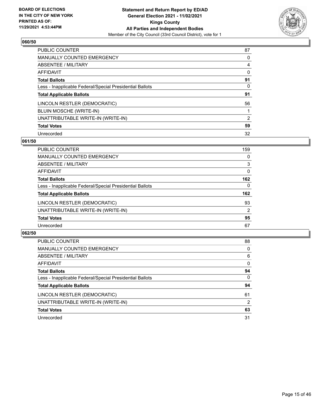

| PUBLIC COUNTER                                           | 87       |
|----------------------------------------------------------|----------|
| MANUALLY COUNTED EMERGENCY                               | 0        |
| ABSENTEE / MILITARY                                      | 4        |
| AFFIDAVIT                                                | $\Omega$ |
| <b>Total Ballots</b>                                     | 91       |
| Less - Inapplicable Federal/Special Presidential Ballots | $\Omega$ |
| <b>Total Applicable Ballots</b>                          | 91       |
| LINCOLN RESTLER (DEMOCRATIC)                             | 56       |
| BLUIN MOSCHE (WRITE-IN)                                  |          |
| UNATTRIBUTABLE WRITE-IN (WRITE-IN)                       | 2        |
| <b>Total Votes</b>                                       | 59       |
| Unrecorded                                               | 32       |

#### **061/50**

| PUBLIC COUNTER                                           | 159 |
|----------------------------------------------------------|-----|
| <b>MANUALLY COUNTED EMERGENCY</b>                        | 0   |
| ABSENTEE / MILITARY                                      | 3   |
| <b>AFFIDAVIT</b>                                         | 0   |
| <b>Total Ballots</b>                                     | 162 |
| Less - Inapplicable Federal/Special Presidential Ballots | 0   |
| <b>Total Applicable Ballots</b>                          | 162 |
| LINCOLN RESTLER (DEMOCRATIC)                             | 93  |
| UNATTRIBUTABLE WRITE-IN (WRITE-IN)                       | 2   |
| <b>Total Votes</b>                                       | 95  |
| Unrecorded                                               | 67  |

| PUBLIC COUNTER                                           | 88       |
|----------------------------------------------------------|----------|
| <b>MANUALLY COUNTED EMERGENCY</b>                        | 0        |
| ABSENTEE / MILITARY                                      | 6        |
| AFFIDAVIT                                                | $\Omega$ |
| <b>Total Ballots</b>                                     | 94       |
| Less - Inapplicable Federal/Special Presidential Ballots | $\Omega$ |
| <b>Total Applicable Ballots</b>                          | 94       |
| LINCOLN RESTLER (DEMOCRATIC)                             | 61       |
| UNATTRIBUTABLE WRITE-IN (WRITE-IN)                       | 2        |
| <b>Total Votes</b>                                       | 63       |
| Unrecorded                                               | 31       |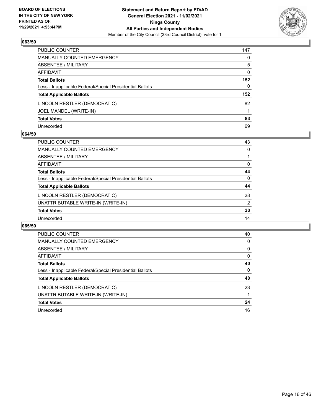

| PUBLIC COUNTER                                           | 147          |
|----------------------------------------------------------|--------------|
| MANUALLY COUNTED EMERGENCY                               | $\mathbf{0}$ |
| ABSENTEE / MILITARY                                      | 5            |
| AFFIDAVIT                                                | 0            |
| Total Ballots                                            | 152          |
| Less - Inapplicable Federal/Special Presidential Ballots | $\Omega$     |
| <b>Total Applicable Ballots</b>                          | 152          |
| LINCOLN RESTLER (DEMOCRATIC)                             | 82           |
| JOEL MANDEL (WRITE-IN)                                   |              |
| <b>Total Votes</b>                                       | 83           |
| Unrecorded                                               | 69           |

#### **064/50**

| <b>PUBLIC COUNTER</b>                                    | 43       |
|----------------------------------------------------------|----------|
| MANUALLY COUNTED EMERGENCY                               | 0        |
| ABSENTEE / MILITARY                                      |          |
| AFFIDAVIT                                                | $\Omega$ |
| <b>Total Ballots</b>                                     | 44       |
| Less - Inapplicable Federal/Special Presidential Ballots | $\Omega$ |
| <b>Total Applicable Ballots</b>                          | 44       |
| LINCOLN RESTLER (DEMOCRATIC)                             | 28       |
| UNATTRIBUTABLE WRITE-IN (WRITE-IN)                       | 2        |
| <b>Total Votes</b>                                       | 30       |
| Unrecorded                                               | 14       |

| PUBLIC COUNTER                                           | 40       |
|----------------------------------------------------------|----------|
| <b>MANUALLY COUNTED EMERGENCY</b>                        | $\Omega$ |
| ABSENTEE / MILITARY                                      | $\Omega$ |
| AFFIDAVIT                                                | $\Omega$ |
| <b>Total Ballots</b>                                     | 40       |
| Less - Inapplicable Federal/Special Presidential Ballots | $\Omega$ |
| <b>Total Applicable Ballots</b>                          | 40       |
| LINCOLN RESTLER (DEMOCRATIC)                             | 23       |
| UNATTRIBUTABLE WRITE-IN (WRITE-IN)                       |          |
|                                                          |          |
| <b>Total Votes</b>                                       | 24       |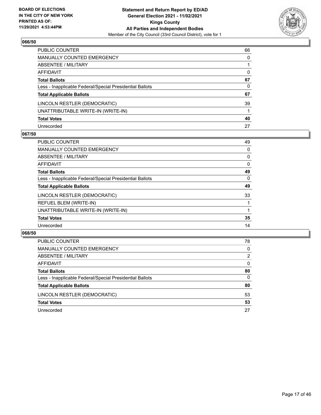

| PUBLIC COUNTER                                           | 66       |
|----------------------------------------------------------|----------|
| MANUALLY COUNTED EMERGENCY                               | $\Omega$ |
| ABSENTEE / MILITARY                                      |          |
| <b>AFFIDAVIT</b>                                         | 0        |
| <b>Total Ballots</b>                                     | 67       |
| Less - Inapplicable Federal/Special Presidential Ballots | 0        |
| <b>Total Applicable Ballots</b>                          | 67       |
| LINCOLN RESTLER (DEMOCRATIC)                             | 39       |
| UNATTRIBUTABLE WRITE-IN (WRITE-IN)                       |          |
| <b>Total Votes</b>                                       | 40       |
| Unrecorded                                               | 27       |

## **067/50**

| <b>PUBLIC COUNTER</b>                                    | 49       |
|----------------------------------------------------------|----------|
| <b>MANUALLY COUNTED EMERGENCY</b>                        | 0        |
| ABSENTEE / MILITARY                                      | 0        |
| AFFIDAVIT                                                | $\Omega$ |
| <b>Total Ballots</b>                                     | 49       |
| Less - Inapplicable Federal/Special Presidential Ballots | 0        |
| <b>Total Applicable Ballots</b>                          | 49       |
| LINCOLN RESTLER (DEMOCRATIC)                             | 33       |
| REFUEL BLEM (WRITE-IN)                                   |          |
| UNATTRIBUTABLE WRITE-IN (WRITE-IN)                       |          |
| <b>Total Votes</b>                                       | 35       |
| Unrecorded                                               | 14       |

| <b>PUBLIC COUNTER</b>                                    | 78       |
|----------------------------------------------------------|----------|
| MANUALLY COUNTED EMERGENCY                               | $\Omega$ |
| ABSENTEE / MILITARY                                      | 2        |
| AFFIDAVIT                                                | $\Omega$ |
| <b>Total Ballots</b>                                     | 80       |
| Less - Inapplicable Federal/Special Presidential Ballots | $\Omega$ |
| <b>Total Applicable Ballots</b>                          | 80       |
| LINCOLN RESTLER (DEMOCRATIC)                             | 53       |
| <b>Total Votes</b>                                       | 53       |
| Unrecorded                                               | 27       |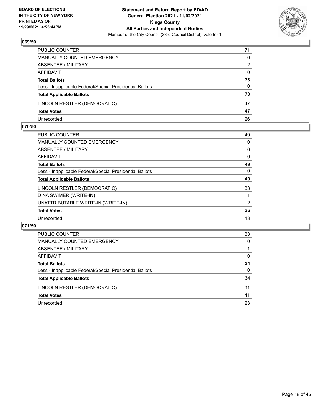

| PUBLIC COUNTER                                           | 71       |
|----------------------------------------------------------|----------|
| MANUALLY COUNTED EMERGENCY                               | 0        |
| ABSENTEE / MILITARY                                      | 2        |
| AFFIDAVIT                                                | $\Omega$ |
| <b>Total Ballots</b>                                     | 73       |
| Less - Inapplicable Federal/Special Presidential Ballots | 0        |
| <b>Total Applicable Ballots</b>                          | 73       |
| LINCOLN RESTLER (DEMOCRATIC)                             | 47       |
| <b>Total Votes</b>                                       | 47       |
| Unrecorded                                               | 26       |

## **070/50**

| 49             |
|----------------|
| 0              |
| 0              |
| 0              |
| 49             |
| $\Omega$       |
| 49             |
| 33             |
|                |
| $\overline{2}$ |
| 36             |
| 13             |
|                |

| PUBLIC COUNTER                                           | 33       |
|----------------------------------------------------------|----------|
| <b>MANUALLY COUNTED EMERGENCY</b>                        | 0        |
| ABSENTEE / MILITARY                                      |          |
| AFFIDAVIT                                                | 0        |
| <b>Total Ballots</b>                                     | 34       |
| Less - Inapplicable Federal/Special Presidential Ballots | $\Omega$ |
| <b>Total Applicable Ballots</b>                          | 34       |
| LINCOLN RESTLER (DEMOCRATIC)                             | 11       |
| <b>Total Votes</b>                                       | 11       |
| Unrecorded                                               | 23       |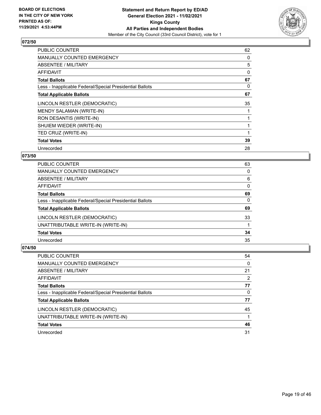

| <b>PUBLIC COUNTER</b>                                    | 62 |
|----------------------------------------------------------|----|
| <b>MANUALLY COUNTED EMERGENCY</b>                        | 0  |
| ABSENTEE / MILITARY                                      | 5  |
| AFFIDAVIT                                                | 0  |
| <b>Total Ballots</b>                                     | 67 |
| Less - Inapplicable Federal/Special Presidential Ballots | 0  |
| <b>Total Applicable Ballots</b>                          | 67 |
| LINCOLN RESTLER (DEMOCRATIC)                             | 35 |
| MENDY SALAMAN (WRITE-IN)                                 |    |
| RON DESANTIS (WRITE-IN)                                  |    |
| SHUIEM WIEDER (WRITE-IN)                                 |    |
| TED CRUZ (WRITE-IN)                                      |    |
| <b>Total Votes</b>                                       | 39 |
| Unrecorded                                               | 28 |

## **073/50**

| <b>PUBLIC COUNTER</b>                                    | 63       |
|----------------------------------------------------------|----------|
| <b>MANUALLY COUNTED EMERGENCY</b>                        | 0        |
| ABSENTEE / MILITARY                                      | 6        |
| AFFIDAVIT                                                | $\Omega$ |
| <b>Total Ballots</b>                                     | 69       |
| Less - Inapplicable Federal/Special Presidential Ballots | $\Omega$ |
| <b>Total Applicable Ballots</b>                          | 69       |
| LINCOLN RESTLER (DEMOCRATIC)                             | 33       |
| UNATTRIBUTABLE WRITE-IN (WRITE-IN)                       |          |
| <b>Total Votes</b>                                       | 34       |
| Unrecorded                                               | 35       |

| PUBLIC COUNTER                                           | 54       |
|----------------------------------------------------------|----------|
| <b>MANUALLY COUNTED EMERGENCY</b>                        | $\Omega$ |
| ABSENTEE / MILITARY                                      | 21       |
| AFFIDAVIT                                                | 2        |
| <b>Total Ballots</b>                                     | 77       |
| Less - Inapplicable Federal/Special Presidential Ballots | $\Omega$ |
| <b>Total Applicable Ballots</b>                          | 77       |
| LINCOLN RESTLER (DEMOCRATIC)                             | 45       |
| UNATTRIBUTABLE WRITE-IN (WRITE-IN)                       |          |
| <b>Total Votes</b>                                       | 46       |
| Unrecorded                                               | 31       |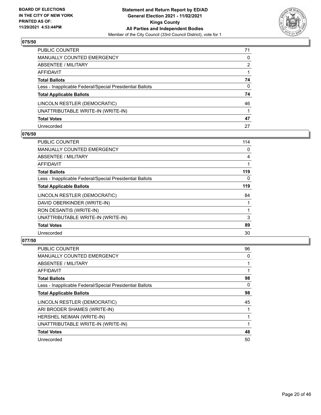

| PUBLIC COUNTER                                           | 71           |
|----------------------------------------------------------|--------------|
| MANUALLY COUNTED EMERGENCY                               | 0            |
| ABSENTEE / MILITARY                                      | 2            |
| AFFIDAVIT                                                |              |
| Total Ballots                                            | 74           |
| Less - Inapplicable Federal/Special Presidential Ballots | $\mathbf{0}$ |
| <b>Total Applicable Ballots</b>                          | 74           |
| LINCOLN RESTLER (DEMOCRATIC)                             | 46           |
| UNATTRIBUTABLE WRITE-IN (WRITE-IN)                       |              |
| <b>Total Votes</b>                                       | 47           |
| Unrecorded                                               | 27           |

## **076/50**

| PUBLIC COUNTER                                           | 114 |
|----------------------------------------------------------|-----|
| <b>MANUALLY COUNTED EMERGENCY</b>                        | 0   |
| ABSENTEE / MILITARY                                      | 4   |
| AFFIDAVIT                                                |     |
| <b>Total Ballots</b>                                     | 119 |
| Less - Inapplicable Federal/Special Presidential Ballots | 0   |
| <b>Total Applicable Ballots</b>                          | 119 |
| LINCOLN RESTLER (DEMOCRATIC)                             | 84  |
| DAVID OBERKINDER (WRITE-IN)                              |     |
| RON DESANTIS (WRITE-IN)                                  |     |
| UNATTRIBUTABLE WRITE-IN (WRITE-IN)                       | 3   |
| <b>Total Votes</b>                                       | 89  |
| Unrecorded                                               | 30  |

| <b>PUBLIC COUNTER</b>                                    | 96 |
|----------------------------------------------------------|----|
| <b>MANUALLY COUNTED EMERGENCY</b>                        | 0  |
| ABSENTEE / MILITARY                                      |    |
| AFFIDAVIT                                                | 1  |
| <b>Total Ballots</b>                                     | 98 |
| Less - Inapplicable Federal/Special Presidential Ballots | 0  |
| <b>Total Applicable Ballots</b>                          | 98 |
| LINCOLN RESTLER (DEMOCRATIC)                             | 45 |
| ARI BRODER SHAMES (WRITE-IN)                             |    |
| HERSHEL NEIMAN (WRITE-IN)                                |    |
| UNATTRIBUTABLE WRITE-IN (WRITE-IN)                       |    |
| <b>Total Votes</b>                                       | 48 |
| Unrecorded                                               | 50 |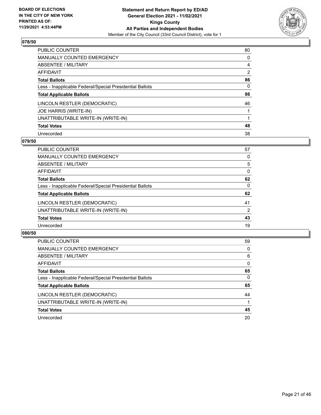

| PUBLIC COUNTER                                           | 80             |
|----------------------------------------------------------|----------------|
| MANUALLY COUNTED EMERGENCY                               | 0              |
| ABSENTEE / MILITARY                                      | 4              |
| AFFIDAVIT                                                | $\overline{2}$ |
| <b>Total Ballots</b>                                     | 86             |
| Less - Inapplicable Federal/Special Presidential Ballots | $\Omega$       |
| <b>Total Applicable Ballots</b>                          | 86             |
| LINCOLN RESTLER (DEMOCRATIC)                             | 46             |
| JOE HARRIS (WRITE-IN)                                    |                |
| UNATTRIBUTABLE WRITE-IN (WRITE-IN)                       |                |
| <b>Total Votes</b>                                       | 48             |
| Unrecorded                                               | 38             |

#### **079/50**

| <b>PUBLIC COUNTER</b>                                    | 57       |
|----------------------------------------------------------|----------|
| MANUALLY COUNTED EMERGENCY                               | 0        |
| ABSENTEE / MILITARY                                      | 5        |
| AFFIDAVIT                                                | $\Omega$ |
| <b>Total Ballots</b>                                     | 62       |
| Less - Inapplicable Federal/Special Presidential Ballots | $\Omega$ |
| <b>Total Applicable Ballots</b>                          | 62       |
| LINCOLN RESTLER (DEMOCRATIC)                             | 41       |
| UNATTRIBUTABLE WRITE-IN (WRITE-IN)                       | 2        |
| <b>Total Votes</b>                                       | 43       |
| Unrecorded                                               | 19       |

| <b>PUBLIC COUNTER</b>                                    | 59       |
|----------------------------------------------------------|----------|
| <b>MANUALLY COUNTED EMERGENCY</b>                        | $\Omega$ |
| ABSENTEE / MILITARY                                      | 6        |
| AFFIDAVIT                                                | $\Omega$ |
| <b>Total Ballots</b>                                     | 65       |
| Less - Inapplicable Federal/Special Presidential Ballots | $\Omega$ |
| <b>Total Applicable Ballots</b>                          | 65       |
| LINCOLN RESTLER (DEMOCRATIC)                             | 44       |
| UNATTRIBUTABLE WRITE-IN (WRITE-IN)                       |          |
| <b>Total Votes</b>                                       | 45       |
| Unrecorded                                               | 20       |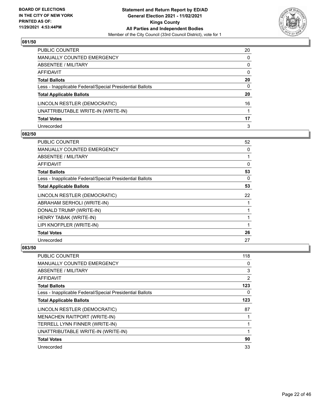

| PUBLIC COUNTER                                           | 20           |
|----------------------------------------------------------|--------------|
| MANUALLY COUNTED EMERGENCY                               | $\mathbf{0}$ |
| ABSENTEE / MILITARY                                      | 0            |
| AFFIDAVIT                                                | $\mathbf{0}$ |
| Total Ballots                                            | 20           |
| Less - Inapplicable Federal/Special Presidential Ballots | $\mathbf{0}$ |
| <b>Total Applicable Ballots</b>                          | 20           |
| LINCOLN RESTLER (DEMOCRATIC)                             | 16           |
| UNATTRIBUTABLE WRITE-IN (WRITE-IN)                       |              |
| <b>Total Votes</b>                                       | 17           |
| Unrecorded                                               | 3            |

## **082/50**

| PUBLIC COUNTER                                           | 52       |
|----------------------------------------------------------|----------|
| MANUALLY COUNTED EMERGENCY                               | 0        |
| ABSENTEE / MILITARY                                      | 1        |
| AFFIDAVIT                                                | $\Omega$ |
| <b>Total Ballots</b>                                     | 53       |
| Less - Inapplicable Federal/Special Presidential Ballots | 0        |
| <b>Total Applicable Ballots</b>                          | 53       |
| LINCOLN RESTLER (DEMOCRATIC)                             | 22       |
| ABRAHAM SERHOLI (WRITE-IN)                               |          |
| DONALD TRUMP (WRITE-IN)                                  |          |
| HENRY TABAK (WRITE-IN)                                   |          |
| LIPI KNOFPLER (WRITE-IN)                                 |          |
| <b>Total Votes</b>                                       | 26       |
| Unrecorded                                               | 27       |

| <b>PUBLIC COUNTER</b>                                    | 118 |
|----------------------------------------------------------|-----|
| MANUALLY COUNTED EMERGENCY                               | 0   |
| ABSENTEE / MILITARY                                      | 3   |
| AFFIDAVIT                                                | 2   |
| <b>Total Ballots</b>                                     | 123 |
| Less - Inapplicable Federal/Special Presidential Ballots | 0   |
| <b>Total Applicable Ballots</b>                          | 123 |
| LINCOLN RESTLER (DEMOCRATIC)                             | 87  |
| <b>MENACHEN RAITPORT (WRITE-IN)</b>                      |     |
| TERRELL LYNN FINNER (WRITE-IN)                           |     |
| UNATTRIBUTABLE WRITE-IN (WRITE-IN)                       |     |
| <b>Total Votes</b>                                       | 90  |
| Unrecorded                                               | 33  |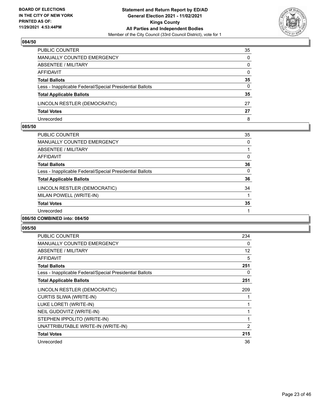

| PUBLIC COUNTER                                           | 35           |
|----------------------------------------------------------|--------------|
| <b>MANUALLY COUNTED EMERGENCY</b>                        | $\Omega$     |
| ABSENTEE / MILITARY                                      | $\mathbf{0}$ |
| AFFIDAVIT                                                | $\mathbf{0}$ |
| <b>Total Ballots</b>                                     | 35           |
| Less - Inapplicable Federal/Special Presidential Ballots | $\Omega$     |
| <b>Total Applicable Ballots</b>                          | 35           |
| LINCOLN RESTLER (DEMOCRATIC)                             | 27           |
| <b>Total Votes</b>                                       | 27           |
| Unrecorded                                               | 8            |

#### **085/50**

| <b>PUBLIC COUNTER</b>                                    | 35       |
|----------------------------------------------------------|----------|
| <b>MANUALLY COUNTED EMERGENCY</b>                        | 0        |
| ABSENTEE / MILITARY                                      |          |
| <b>AFFIDAVIT</b>                                         | $\Omega$ |
| <b>Total Ballots</b>                                     | 36       |
| Less - Inapplicable Federal/Special Presidential Ballots | $\Omega$ |
| <b>Total Applicable Ballots</b>                          | 36       |
| LINCOLN RESTLER (DEMOCRATIC)                             | 34       |
| MILAN POWELL (WRITE-IN)                                  |          |
| <b>Total Votes</b>                                       | 35       |
| Unrecorded                                               |          |
| 086/50 COMBINED into: 084/50                             |          |

| PUBLIC COUNTER                                           | 234            |
|----------------------------------------------------------|----------------|
| <b>MANUALLY COUNTED EMERGENCY</b>                        | 0              |
| ABSENTEE / MILITARY                                      | 12             |
| <b>AFFIDAVIT</b>                                         | 5              |
| <b>Total Ballots</b>                                     | 251            |
| Less - Inapplicable Federal/Special Presidential Ballots | 0              |
| <b>Total Applicable Ballots</b>                          | 251            |
| LINCOLN RESTLER (DEMOCRATIC)                             | 209            |
| CURTIS SLIWA (WRITE-IN)                                  |                |
| LUKE LORETI (WRITE-IN)                                   |                |
| NEIL GUDOVITZ (WRITE-IN)                                 |                |
| STEPHEN IPPOLITO (WRITE-IN)                              | 1              |
| UNATTRIBUTABLE WRITE-IN (WRITE-IN)                       | $\overline{2}$ |
| <b>Total Votes</b>                                       | 215            |
| Unrecorded                                               | 36             |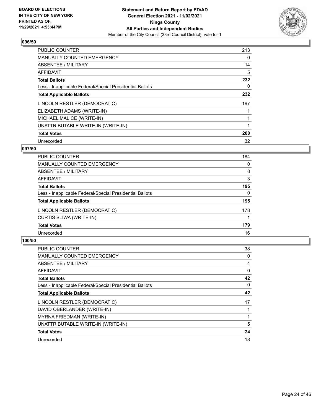

| <b>PUBLIC COUNTER</b>                                    | 213 |
|----------------------------------------------------------|-----|
| <b>MANUALLY COUNTED EMERGENCY</b>                        | 0   |
| <b>ABSENTEE / MILITARY</b>                               | 14  |
| <b>AFFIDAVIT</b>                                         | 5   |
| <b>Total Ballots</b>                                     | 232 |
| Less - Inapplicable Federal/Special Presidential Ballots | 0   |
| <b>Total Applicable Ballots</b>                          | 232 |
| LINCOLN RESTLER (DEMOCRATIC)                             | 197 |
| ELIZABETH ADAMS (WRITE-IN)                               |     |
| MICHAEL MALICE (WRITE-IN)                                |     |
| UNATTRIBUTABLE WRITE-IN (WRITE-IN)                       |     |
| <b>Total Votes</b>                                       | 200 |
| Unrecorded                                               | 32  |

## **097/50**

| 184      |
|----------|
| 0        |
| 8        |
| 3        |
| 195      |
| $\Omega$ |
| 195      |
| 178      |
|          |
| 179      |
| 16       |
|          |

| <b>PUBLIC COUNTER</b>                                    | 38 |
|----------------------------------------------------------|----|
| <b>MANUALLY COUNTED EMERGENCY</b>                        | 0  |
| ABSENTEE / MILITARY                                      | 4  |
| <b>AFFIDAVIT</b>                                         | 0  |
| <b>Total Ballots</b>                                     | 42 |
| Less - Inapplicable Federal/Special Presidential Ballots | 0  |
| <b>Total Applicable Ballots</b>                          | 42 |
| LINCOLN RESTLER (DEMOCRATIC)                             | 17 |
| DAVID OBERLANDER (WRITE-IN)                              |    |
| MYRNA FRIEDMAN (WRITE-IN)                                |    |
| UNATTRIBUTABLE WRITE-IN (WRITE-IN)                       | 5  |
| <b>Total Votes</b>                                       | 24 |
| Unrecorded                                               | 18 |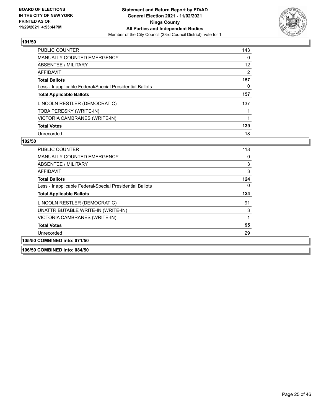

| <b>PUBLIC COUNTER</b>                                    | 143 |
|----------------------------------------------------------|-----|
| <b>MANUALLY COUNTED EMERGENCY</b>                        | 0   |
| ABSENTEE / MILITARY                                      | 12  |
| AFFIDAVIT                                                | 2   |
| <b>Total Ballots</b>                                     | 157 |
| Less - Inapplicable Federal/Special Presidential Ballots | 0   |
| <b>Total Applicable Ballots</b>                          | 157 |
| LINCOLN RESTLER (DEMOCRATIC)                             | 137 |
| TOBA PERESKY (WRITE-IN)                                  |     |
| VICTORIA CAMBRANES (WRITE-IN)                            |     |
| <b>Total Votes</b>                                       | 139 |
| Unrecorded                                               | 18  |

#### **102/50**

| <b>PUBLIC COUNTER</b>                                    | 118      |
|----------------------------------------------------------|----------|
| <b>MANUALLY COUNTED EMERGENCY</b>                        | $\Omega$ |
| ABSENTEE / MILITARY                                      | 3        |
| AFFIDAVIT                                                | 3        |
| Total Ballots                                            | 124      |
| Less - Inapplicable Federal/Special Presidential Ballots | 0        |
| <b>Total Applicable Ballots</b>                          | 124      |
| LINCOLN RESTLER (DEMOCRATIC)                             | 91       |
| UNATTRIBUTABLE WRITE-IN (WRITE-IN)                       | 3        |
| VICTORIA CAMBRANES (WRITE-IN)                            | 1        |
| <b>Total Votes</b>                                       | 95       |
| Unrecorded                                               | 29       |
| 105/50 COMBINED into: 071/50                             |          |

**106/50 COMBINED into: 084/50**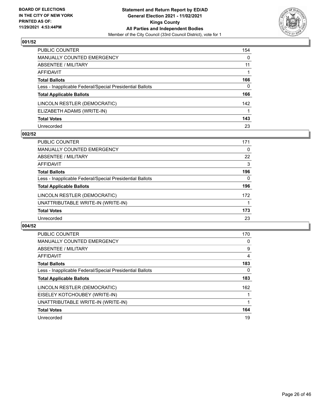

| PUBLIC COUNTER                                           | 154          |
|----------------------------------------------------------|--------------|
| MANUALLY COUNTED EMERGENCY                               | $\mathbf{0}$ |
| ABSENTEE / MILITARY                                      | 11           |
| <b>AFFIDAVIT</b>                                         |              |
| <b>Total Ballots</b>                                     | 166          |
| Less - Inapplicable Federal/Special Presidential Ballots | $\Omega$     |
| <b>Total Applicable Ballots</b>                          | 166          |
| LINCOLN RESTLER (DEMOCRATIC)                             | 142          |
| ELIZABETH ADAMS (WRITE-IN)                               |              |
| <b>Total Votes</b>                                       | 143          |
| Unrecorded                                               | 23           |

#### **002/52**

| <b>PUBLIC COUNTER</b>                                    | 171 |
|----------------------------------------------------------|-----|
| <b>MANUALLY COUNTED EMERGENCY</b>                        | 0   |
| ABSENTEE / MILITARY                                      | 22  |
| AFFIDAVIT                                                | 3   |
| <b>Total Ballots</b>                                     | 196 |
| Less - Inapplicable Federal/Special Presidential Ballots | 0   |
| <b>Total Applicable Ballots</b>                          | 196 |
| LINCOLN RESTLER (DEMOCRATIC)                             | 172 |
| UNATTRIBUTABLE WRITE-IN (WRITE-IN)                       |     |
| <b>Total Votes</b>                                       | 173 |
| Unrecorded                                               | 23  |

| PUBLIC COUNTER                                           | 170 |
|----------------------------------------------------------|-----|
| MANUALLY COUNTED EMERGENCY                               | 0   |
| ABSENTEE / MILITARY                                      | 9   |
| AFFIDAVIT                                                | 4   |
| <b>Total Ballots</b>                                     | 183 |
| Less - Inapplicable Federal/Special Presidential Ballots | 0   |
| <b>Total Applicable Ballots</b>                          | 183 |
| LINCOLN RESTLER (DEMOCRATIC)                             | 162 |
| EISELEY KOTCHOUBEY (WRITE-IN)                            |     |
| UNATTRIBUTABLE WRITE-IN (WRITE-IN)                       |     |
| <b>Total Votes</b>                                       | 164 |
| Unrecorded                                               | 19  |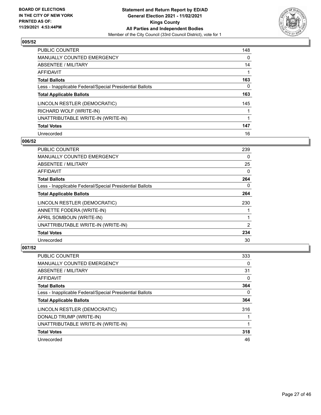

| PUBLIC COUNTER                                           | 148      |
|----------------------------------------------------------|----------|
| <b>MANUALLY COUNTED EMERGENCY</b>                        | $\Omega$ |
| ABSENTEE / MILITARY                                      | 14       |
| AFFIDAVIT                                                |          |
| <b>Total Ballots</b>                                     | 163      |
| Less - Inapplicable Federal/Special Presidential Ballots | 0        |
| <b>Total Applicable Ballots</b>                          | 163      |
| LINCOLN RESTLER (DEMOCRATIC)                             | 145      |
| RICHARD WOLF (WRITE-IN)                                  |          |
| UNATTRIBUTABLE WRITE-IN (WRITE-IN)                       |          |
| <b>Total Votes</b>                                       | 147      |
| Unrecorded                                               | 16       |

## **006/52**

| <b>PUBLIC COUNTER</b>                                    | 239      |
|----------------------------------------------------------|----------|
| <b>MANUALLY COUNTED EMERGENCY</b>                        | 0        |
| ABSENTEE / MILITARY                                      | 25       |
| <b>AFFIDAVIT</b>                                         | 0        |
| <b>Total Ballots</b>                                     | 264      |
| Less - Inapplicable Federal/Special Presidential Ballots | $\Omega$ |
| <b>Total Applicable Ballots</b>                          | 264      |
| LINCOLN RESTLER (DEMOCRATIC)                             | 230      |
| ANNETTE FODERA (WRITE-IN)                                |          |
| APRIL SOMBOUN (WRITE-IN)                                 |          |
| UNATTRIBUTABLE WRITE-IN (WRITE-IN)                       | 2        |
| <b>Total Votes</b>                                       | 234      |
| Unrecorded                                               | 30       |

| <b>PUBLIC COUNTER</b>                                    | 333 |
|----------------------------------------------------------|-----|
| <b>MANUALLY COUNTED EMERGENCY</b>                        | 0   |
| ABSENTEE / MILITARY                                      | 31  |
| AFFIDAVIT                                                | 0   |
| <b>Total Ballots</b>                                     | 364 |
| Less - Inapplicable Federal/Special Presidential Ballots | 0   |
| <b>Total Applicable Ballots</b>                          | 364 |
| LINCOLN RESTLER (DEMOCRATIC)                             | 316 |
| DONALD TRUMP (WRITE-IN)                                  |     |
| UNATTRIBUTABLE WRITE-IN (WRITE-IN)                       |     |
| <b>Total Votes</b>                                       | 318 |
| Unrecorded                                               | 46  |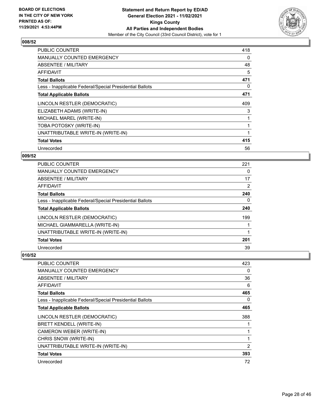

| <b>PUBLIC COUNTER</b>                                    | 418 |
|----------------------------------------------------------|-----|
| <b>MANUALLY COUNTED EMERGENCY</b>                        | 0   |
| ABSENTEE / MILITARY                                      | 48  |
| <b>AFFIDAVIT</b>                                         | 5   |
| <b>Total Ballots</b>                                     | 471 |
| Less - Inapplicable Federal/Special Presidential Ballots | 0   |
| <b>Total Applicable Ballots</b>                          | 471 |
| LINCOLN RESTLER (DEMOCRATIC)                             | 409 |
| ELIZABETH ADAMS (WRITE-IN)                               | 3   |
| MICHAEL MAREL (WRITE-IN)                                 |     |
| TOBA POTOSKY (WRITE-IN)                                  |     |
| UNATTRIBUTABLE WRITE-IN (WRITE-IN)                       |     |
| <b>Total Votes</b>                                       | 415 |
| Unrecorded                                               | 56  |

## **009/52**

| PUBLIC COUNTER                                           | 221 |
|----------------------------------------------------------|-----|
| MANUALLY COUNTED EMERGENCY                               | 0   |
| ABSENTEE / MILITARY                                      | 17  |
| AFFIDAVIT                                                | 2   |
| <b>Total Ballots</b>                                     | 240 |
| Less - Inapplicable Federal/Special Presidential Ballots | 0   |
| <b>Total Applicable Ballots</b>                          | 240 |
| LINCOLN RESTLER (DEMOCRATIC)                             | 199 |
| MICHAEL GIAMMARELLA (WRITE-IN)                           |     |
| UNATTRIBUTABLE WRITE-IN (WRITE-IN)                       |     |
| <b>Total Votes</b>                                       | 201 |
| Unrecorded                                               | 39  |

| PUBLIC COUNTER                                           | 423 |
|----------------------------------------------------------|-----|
| MANUALLY COUNTED EMERGENCY                               | 0   |
| ABSENTEE / MILITARY                                      | 36  |
| AFFIDAVIT                                                | 6   |
| <b>Total Ballots</b>                                     | 465 |
| Less - Inapplicable Federal/Special Presidential Ballots | 0   |
| <b>Total Applicable Ballots</b>                          | 465 |
| LINCOLN RESTLER (DEMOCRATIC)                             | 388 |
| <b>BRETT KENDELL (WRITE-IN)</b>                          |     |
| CAMERON WEBER (WRITE-IN)                                 |     |
| CHRIS SNOW (WRITE-IN)                                    | 1   |
| UNATTRIBUTABLE WRITE-IN (WRITE-IN)                       | 2   |
| <b>Total Votes</b>                                       | 393 |
| Unrecorded                                               | 72  |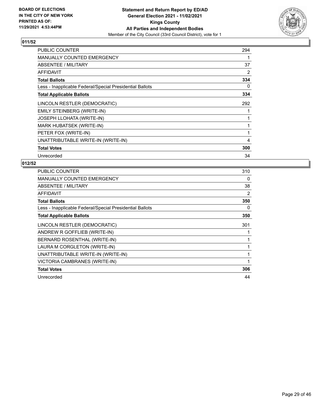

| <b>PUBLIC COUNTER</b>                                    | 294 |
|----------------------------------------------------------|-----|
| <b>MANUALLY COUNTED EMERGENCY</b>                        |     |
| ABSENTEE / MILITARY                                      | 37  |
| <b>AFFIDAVIT</b>                                         | 2   |
| <b>Total Ballots</b>                                     | 334 |
| Less - Inapplicable Federal/Special Presidential Ballots | 0   |
| <b>Total Applicable Ballots</b>                          | 334 |
| LINCOLN RESTLER (DEMOCRATIC)                             | 292 |
| <b>EMILY STEINBERG (WRITE-IN)</b>                        |     |
| <b>JOSEPH LLOHATA (WRITE-IN)</b>                         |     |
| MARK HUBATSEK (WRITE-IN)                                 |     |
| PETER FOX (WRITE-IN)                                     |     |
| UNATTRIBUTABLE WRITE-IN (WRITE-IN)                       | 4   |
| <b>Total Votes</b>                                       | 300 |
| Unrecorded                                               | 34  |

| <b>PUBLIC COUNTER</b>                                    | 310 |
|----------------------------------------------------------|-----|
| <b>MANUALLY COUNTED EMERGENCY</b>                        | 0   |
| ABSENTEE / MILITARY                                      | 38  |
| <b>AFFIDAVIT</b>                                         | 2   |
| <b>Total Ballots</b>                                     | 350 |
| Less - Inapplicable Federal/Special Presidential Ballots | 0   |
| <b>Total Applicable Ballots</b>                          | 350 |
| LINCOLN RESTLER (DEMOCRATIC)                             | 301 |
| ANDREW R GOFFLIEB (WRITE-IN)                             |     |
| BERNARD ROSENTHAL (WRITE-IN)                             |     |
| LAURA M CORGLETON (WRITE-IN)                             |     |
| UNATTRIBUTABLE WRITE-IN (WRITE-IN)                       | 1   |
| VICTORIA CAMBRANES (WRITE-IN)                            | 1   |
| <b>Total Votes</b>                                       | 306 |
| Unrecorded                                               | 44  |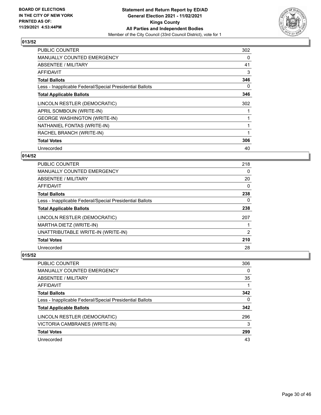

| <b>PUBLIC COUNTER</b>                                    | 302 |
|----------------------------------------------------------|-----|
| <b>MANUALLY COUNTED EMERGENCY</b>                        | 0   |
| <b>ABSENTEE / MILITARY</b>                               | 41  |
| AFFIDAVIT                                                | 3   |
| <b>Total Ballots</b>                                     | 346 |
| Less - Inapplicable Federal/Special Presidential Ballots | 0   |
| <b>Total Applicable Ballots</b>                          | 346 |
| LINCOLN RESTLER (DEMOCRATIC)                             | 302 |
| APRIL SOMBOUN (WRITE-IN)                                 |     |
| <b>GEORGE WASHINGTON (WRITE-IN)</b>                      |     |
| NATHANIEL FONTAS (WRITE-IN)                              | 1   |
| RACHEL BRANCH (WRITE-IN)                                 |     |
| <b>Total Votes</b>                                       | 306 |
| Unrecorded                                               | 40  |

## **014/52**

| PUBLIC COUNTER                                           | 218            |
|----------------------------------------------------------|----------------|
| MANUALLY COUNTED EMERGENCY                               | $\Omega$       |
| ABSENTEE / MILITARY                                      | 20             |
| AFFIDAVIT                                                | $\Omega$       |
| <b>Total Ballots</b>                                     | 238            |
| Less - Inapplicable Federal/Special Presidential Ballots | $\Omega$       |
| <b>Total Applicable Ballots</b>                          | 238            |
| LINCOLN RESTLER (DEMOCRATIC)                             | 207            |
| MARTHA DIETZ (WRITE-IN)                                  |                |
| UNATTRIBUTABLE WRITE-IN (WRITE-IN)                       | $\overline{2}$ |
| <b>Total Votes</b>                                       | 210            |
| Unrecorded                                               | 28             |

| <b>PUBLIC COUNTER</b>                                    | 306 |
|----------------------------------------------------------|-----|
| <b>MANUALLY COUNTED EMERGENCY</b>                        | 0   |
| ABSENTEE / MILITARY                                      | 35  |
| AFFIDAVIT                                                |     |
| <b>Total Ballots</b>                                     | 342 |
| Less - Inapplicable Federal/Special Presidential Ballots | 0   |
| <b>Total Applicable Ballots</b>                          | 342 |
| LINCOLN RESTLER (DEMOCRATIC)                             | 296 |
| VICTORIA CAMBRANES (WRITE-IN)                            | 3   |
| <b>Total Votes</b>                                       | 299 |
| Unrecorded                                               | 43  |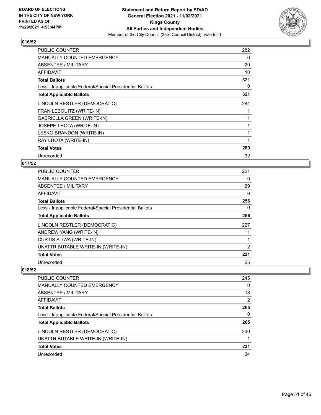

| <b>PUBLIC COUNTER</b>                                    | 282 |
|----------------------------------------------------------|-----|
| <b>MANUALLY COUNTED EMERGENCY</b>                        | 0   |
| ABSENTEE / MILITARY                                      | 29  |
| AFFIDAVIT                                                | 10  |
| <b>Total Ballots</b>                                     | 321 |
| Less - Inapplicable Federal/Special Presidential Ballots | 0   |
| <b>Total Applicable Ballots</b>                          | 321 |
| LINCOLN RESTLER (DEMOCRATIC)                             | 284 |
| FRAN LEBOUITZ (WRITE-IN)                                 |     |
| GABRIELLA GREEN (WRITE-IN)                               |     |
| JOSEPH LHOTA (WRITE-IN)                                  |     |
| LESKO BRANDON (WRITE-IN)                                 |     |
| RAY LHOTA (WRITE-IN)                                     | 1   |
| <b>Total Votes</b>                                       | 289 |
| Unrecorded                                               | 32  |

## **017/52**

| PUBLIC COUNTER                                           | 221 |
|----------------------------------------------------------|-----|
| <b>MANUALLY COUNTED EMERGENCY</b>                        | 0   |
| <b>ABSENTEE / MILITARY</b>                               | 29  |
| <b>AFFIDAVIT</b>                                         | 6   |
| <b>Total Ballots</b>                                     | 256 |
| Less - Inapplicable Federal/Special Presidential Ballots | 0   |
| <b>Total Applicable Ballots</b>                          | 256 |
| LINCOLN RESTLER (DEMOCRATIC)                             | 227 |
| ANDREW YANG (WRITE-IN)                                   |     |
| <b>CURTIS SLIWA (WRITE-IN)</b>                           |     |
| UNATTRIBUTABLE WRITE-IN (WRITE-IN)                       | 2   |
| <b>Total Votes</b>                                       | 231 |
| Unrecorded                                               | 25  |

| 245            |
|----------------|
| $\Omega$       |
| 18             |
| $\overline{2}$ |
| 265            |
| 0              |
| 265            |
| 230            |
|                |
| 231            |
| 34             |
|                |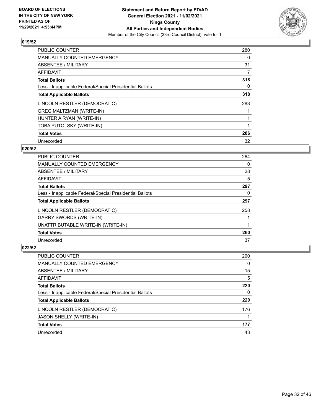

| <b>PUBLIC COUNTER</b>                                    | 280 |
|----------------------------------------------------------|-----|
| <b>MANUALLY COUNTED EMERGENCY</b>                        | 0   |
| ABSENTEE / MILITARY                                      | 31  |
| AFFIDAVIT                                                | 7   |
| <b>Total Ballots</b>                                     | 318 |
| Less - Inapplicable Federal/Special Presidential Ballots | 0   |
| <b>Total Applicable Ballots</b>                          | 318 |
| LINCOLN RESTLER (DEMOCRATIC)                             | 283 |
| <b>GREG MALTZMAN (WRITE-IN)</b>                          |     |
| HUNTER A RYAN (WRITE-IN)                                 |     |
| TOBA PUTOLSKY (WRITE-IN)                                 |     |
| <b>Total Votes</b>                                       | 286 |
| Unrecorded                                               | 32  |

## **020/52**

| <b>PUBLIC COUNTER</b>                                    | 264 |
|----------------------------------------------------------|-----|
| <b>MANUALLY COUNTED EMERGENCY</b>                        | 0   |
| ABSENTEE / MILITARY                                      | 28  |
| AFFIDAVIT                                                | 5   |
| <b>Total Ballots</b>                                     | 297 |
| Less - Inapplicable Federal/Special Presidential Ballots | 0   |
| <b>Total Applicable Ballots</b>                          | 297 |
| LINCOLN RESTLER (DEMOCRATIC)                             | 258 |
| <b>GARRY SWORDS (WRITE-IN)</b>                           |     |
| UNATTRIBUTABLE WRITE-IN (WRITE-IN)                       |     |
| <b>Total Votes</b>                                       | 260 |
| Unrecorded                                               | 37  |

| <b>PUBLIC COUNTER</b>                                    | 200 |
|----------------------------------------------------------|-----|
| MANUALLY COUNTED EMERGENCY                               | 0   |
| ABSENTEE / MILITARY                                      | 15  |
| AFFIDAVIT                                                | 5   |
| <b>Total Ballots</b>                                     | 220 |
| Less - Inapplicable Federal/Special Presidential Ballots | 0   |
| <b>Total Applicable Ballots</b>                          | 220 |
| LINCOLN RESTLER (DEMOCRATIC)                             | 176 |
| <b>JASON SHELLY (WRITE-IN)</b>                           |     |
| <b>Total Votes</b>                                       | 177 |
| Unrecorded                                               | 43  |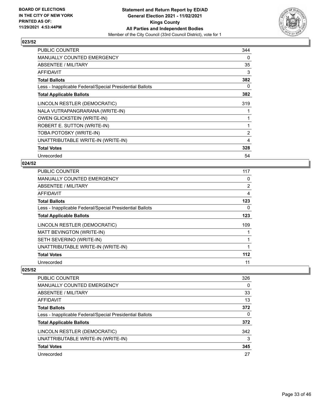

| <b>PUBLIC COUNTER</b>                                    | 344 |
|----------------------------------------------------------|-----|
| MANUALLY COUNTED EMERGENCY                               | 0   |
| ABSENTEE / MILITARY                                      | 35  |
| <b>AFFIDAVIT</b>                                         | 3   |
| <b>Total Ballots</b>                                     | 382 |
| Less - Inapplicable Federal/Special Presidential Ballots | 0   |
| <b>Total Applicable Ballots</b>                          | 382 |
| LINCOLN RESTLER (DEMOCRATIC)                             | 319 |
| NALA VUTRAPANGRARANA (WRITE-IN)                          |     |
| <b>OWEN GLICKSTEIN (WRITE-IN)</b>                        |     |
| ROBERT E. SUTTON (WRITE-IN)                              |     |
| TOBA POTOSKY (WRITE-IN)                                  | 2   |
| UNATTRIBUTABLE WRITE-IN (WRITE-IN)                       | 4   |
| <b>Total Votes</b>                                       | 328 |
| Unrecorded                                               | 54  |

## **024/52**

| <b>PUBLIC COUNTER</b>                                    | 117 |
|----------------------------------------------------------|-----|
| MANUALLY COUNTED EMERGENCY                               | 0   |
| ABSENTEE / MILITARY                                      | 2   |
| AFFIDAVIT                                                | 4   |
| <b>Total Ballots</b>                                     | 123 |
| Less - Inapplicable Federal/Special Presidential Ballots | 0   |
| <b>Total Applicable Ballots</b>                          | 123 |
| LINCOLN RESTLER (DEMOCRATIC)                             | 109 |
| MATT BEVINGTON (WRITE-IN)                                |     |
| SETH SEVERINO (WRITE-IN)                                 | 1   |
| UNATTRIBUTABLE WRITE-IN (WRITE-IN)                       | 1   |
| <b>Total Votes</b>                                       | 112 |
| Unrecorded                                               | 11  |

| PUBLIC COUNTER                                           | 326 |
|----------------------------------------------------------|-----|
| <b>MANUALLY COUNTED EMERGENCY</b>                        | 0   |
| ABSENTEE / MILITARY                                      | 33  |
| AFFIDAVIT                                                | 13  |
| <b>Total Ballots</b>                                     | 372 |
| Less - Inapplicable Federal/Special Presidential Ballots | 0   |
| <b>Total Applicable Ballots</b>                          | 372 |
| LINCOLN RESTLER (DEMOCRATIC)                             | 342 |
| UNATTRIBUTABLE WRITE-IN (WRITE-IN)                       | 3   |
| <b>Total Votes</b>                                       | 345 |
| Unrecorded                                               | 27  |
|                                                          |     |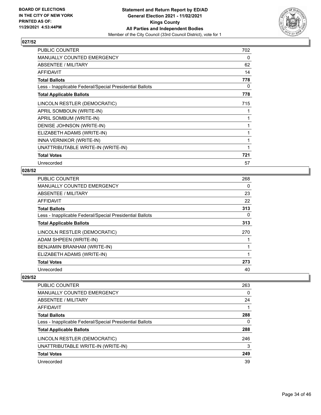

| <b>PUBLIC COUNTER</b>                                    | 702 |
|----------------------------------------------------------|-----|
| MANUALLY COUNTED EMERGENCY                               | 0   |
| ABSENTEE / MILITARY                                      | 62  |
| AFFIDAVIT                                                | 14  |
| <b>Total Ballots</b>                                     | 778 |
| Less - Inapplicable Federal/Special Presidential Ballots | 0   |
| <b>Total Applicable Ballots</b>                          | 778 |
| LINCOLN RESTLER (DEMOCRATIC)                             | 715 |
| APRIL SOMBOUN (WRITE-IN)                                 |     |
| APRIL SOMBUM (WRITE-IN)                                  |     |
| DENISE JOHNSON (WRITE-IN)                                |     |
| ELIZABETH ADAMS (WRITE-IN)                               | 1   |
| INNA VERNIKOR (WRITE-IN)                                 |     |
| UNATTRIBUTABLE WRITE-IN (WRITE-IN)                       |     |
| <b>Total Votes</b>                                       | 721 |
| Unrecorded                                               | 57  |

## **028/52**

| <b>PUBLIC COUNTER</b>                                    | 268      |
|----------------------------------------------------------|----------|
| MANUALLY COUNTED EMERGENCY                               | 0        |
| ABSENTEE / MILITARY                                      | 23       |
| AFFIDAVIT                                                | 22       |
| <b>Total Ballots</b>                                     | 313      |
| Less - Inapplicable Federal/Special Presidential Ballots | $\Omega$ |
| <b>Total Applicable Ballots</b>                          | 313      |
| LINCOLN RESTLER (DEMOCRATIC)                             | 270      |
| ADAM SHPEEN (WRITE-IN)                                   |          |
| BENJAMIN BRANHAM (WRITE-IN)                              |          |
| ELIZABETH ADAMS (WRITE-IN)                               |          |
| <b>Total Votes</b>                                       | 273      |
| Unrecorded                                               | 40       |

| <b>PUBLIC COUNTER</b>                                    | 263 |
|----------------------------------------------------------|-----|
| <b>MANUALLY COUNTED EMERGENCY</b>                        | 0   |
| ABSENTEE / MILITARY                                      | 24  |
| AFFIDAVIT                                                |     |
| <b>Total Ballots</b>                                     | 288 |
| Less - Inapplicable Federal/Special Presidential Ballots | 0   |
| <b>Total Applicable Ballots</b>                          | 288 |
| LINCOLN RESTLER (DEMOCRATIC)                             | 246 |
| UNATTRIBUTABLE WRITE-IN (WRITE-IN)                       | 3   |
| <b>Total Votes</b>                                       | 249 |
| Unrecorded                                               | 39  |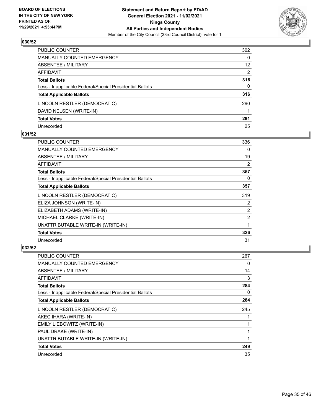

| PUBLIC COUNTER                                           | 302             |
|----------------------------------------------------------|-----------------|
| <b>MANUALLY COUNTED EMERGENCY</b>                        | 0               |
| ABSENTEE / MILITARY                                      | 12 <sup>2</sup> |
| AFFIDAVIT                                                | $\overline{2}$  |
| <b>Total Ballots</b>                                     | 316             |
| Less - Inapplicable Federal/Special Presidential Ballots | 0               |
| <b>Total Applicable Ballots</b>                          | 316             |
| LINCOLN RESTLER (DEMOCRATIC)                             | 290             |
| DAVID NELSEN (WRITE-IN)                                  |                 |
| <b>Total Votes</b>                                       | 291             |
| Unrecorded                                               | 25              |

## **031/52**

| <b>PUBLIC COUNTER</b>                                    | 336            |
|----------------------------------------------------------|----------------|
| <b>MANUALLY COUNTED EMERGENCY</b>                        | 0              |
| ABSENTEE / MILITARY                                      | 19             |
| AFFIDAVIT                                                | 2              |
| <b>Total Ballots</b>                                     | 357            |
| Less - Inapplicable Federal/Special Presidential Ballots | 0              |
| <b>Total Applicable Ballots</b>                          | 357            |
| LINCOLN RESTLER (DEMOCRATIC)                             | 319            |
| ELIZA JOHNSON (WRITE-IN)                                 | $\overline{2}$ |
| ELIZABETH ADAMS (WRITE-IN)                               | 2              |
| MICHAEL CLARKE (WRITE-IN)                                | 2              |
| UNATTRIBUTABLE WRITE-IN (WRITE-IN)                       |                |
| <b>Total Votes</b>                                       | 326            |
| Unrecorded                                               | 31             |

| PUBLIC COUNTER                                           | 267 |
|----------------------------------------------------------|-----|
| MANUALLY COUNTED EMERGENCY                               | 0   |
| ABSENTEE / MILITARY                                      | 14  |
| AFFIDAVIT                                                | 3   |
| <b>Total Ballots</b>                                     | 284 |
| Less - Inapplicable Federal/Special Presidential Ballots | 0   |
| <b>Total Applicable Ballots</b>                          | 284 |
| LINCOLN RESTLER (DEMOCRATIC)                             | 245 |
| AKEC IHARA (WRITE-IN)                                    |     |
| EMILY LIEBOWITZ (WRITE-IN)                               | 1   |
| PAUL DRAKE (WRITE-IN)                                    | 1   |
| UNATTRIBUTABLE WRITE-IN (WRITE-IN)                       |     |
| <b>Total Votes</b>                                       | 249 |
| Unrecorded                                               | 35  |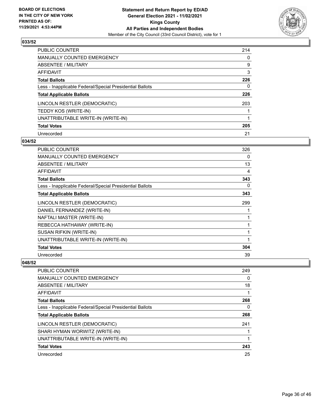

| PUBLIC COUNTER                                           | 214      |
|----------------------------------------------------------|----------|
| MANUALLY COUNTED EMERGENCY                               | $\Omega$ |
| ABSENTEE / MILITARY                                      | 9        |
| AFFIDAVIT                                                | 3        |
| <b>Total Ballots</b>                                     | 226      |
| Less - Inapplicable Federal/Special Presidential Ballots | 0        |
| <b>Total Applicable Ballots</b>                          | 226      |
| LINCOLN RESTLER (DEMOCRATIC)                             | 203      |
| TEDDY KOS (WRITE-IN)                                     |          |
| UNATTRIBUTABLE WRITE-IN (WRITE-IN)                       |          |
| <b>Total Votes</b>                                       | 205      |
| Unrecorded                                               | 21       |

#### **034/52**

| <b>PUBLIC COUNTER</b>                                    | 326 |
|----------------------------------------------------------|-----|
| <b>MANUALLY COUNTED EMERGENCY</b>                        | 0   |
| ABSENTEE / MILITARY                                      | 13  |
| AFFIDAVIT                                                | 4   |
| <b>Total Ballots</b>                                     | 343 |
| Less - Inapplicable Federal/Special Presidential Ballots | 0   |
| <b>Total Applicable Ballots</b>                          | 343 |
| LINCOLN RESTLER (DEMOCRATIC)                             | 299 |
| DANIEL FERNANDEZ (WRITE-IN)                              |     |
| NAFTALI MASTER (WRITE-IN)                                | 1   |
| REBECCA HATHAWAY (WRITE-IN)                              | 1   |
| SUSAN RIFKIN (WRITE-IN)                                  | 1   |
| UNATTRIBUTABLE WRITE-IN (WRITE-IN)                       | 1   |
| <b>Total Votes</b>                                       | 304 |
| Unrecorded                                               | 39  |

| <b>PUBLIC COUNTER</b>                                    | 249 |
|----------------------------------------------------------|-----|
| <b>MANUALLY COUNTED EMERGENCY</b>                        | 0   |
| ABSENTEE / MILITARY                                      | 18  |
| AFFIDAVIT                                                |     |
| <b>Total Ballots</b>                                     | 268 |
| Less - Inapplicable Federal/Special Presidential Ballots | 0   |
| <b>Total Applicable Ballots</b>                          | 268 |
| LINCOLN RESTLER (DEMOCRATIC)                             | 241 |
| SHARI HYMAN WORWITZ (WRITE-IN)                           |     |
| UNATTRIBUTABLE WRITE-IN (WRITE-IN)                       |     |
| <b>Total Votes</b>                                       | 243 |
| Unrecorded                                               | 25  |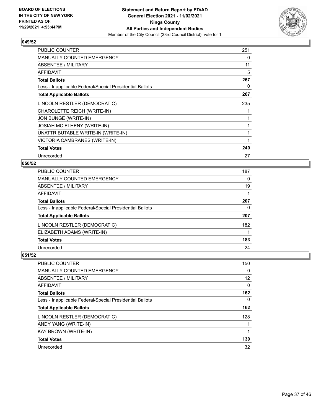

| <b>PUBLIC COUNTER</b>                                    | 251 |
|----------------------------------------------------------|-----|
| <b>MANUALLY COUNTED EMERGENCY</b>                        | 0   |
| ABSENTEE / MILITARY                                      | 11  |
| AFFIDAVIT                                                | 5   |
| <b>Total Ballots</b>                                     | 267 |
| Less - Inapplicable Federal/Special Presidential Ballots | 0   |
| <b>Total Applicable Ballots</b>                          | 267 |
| LINCOLN RESTLER (DEMOCRATIC)                             | 235 |
| CHAROLETTE REICH (WRITE-IN)                              |     |
| JON BUNGE (WRITE-IN)                                     |     |
| JOSIAH MC ELHENY (WRITE-IN)                              |     |
| UNATTRIBUTABLE WRITE-IN (WRITE-IN)                       |     |
| VICTORIA CAMBRANES (WRITE-IN)                            | 1   |
| <b>Total Votes</b>                                       | 240 |
| Unrecorded                                               | 27  |

## **050/52**

| PUBLIC COUNTER                                           | 187      |
|----------------------------------------------------------|----------|
| <b>MANUALLY COUNTED EMERGENCY</b>                        | $\Omega$ |
| <b>ABSENTEE / MILITARY</b>                               | 19       |
| <b>AFFIDAVIT</b>                                         |          |
| <b>Total Ballots</b>                                     | 207      |
| Less - Inapplicable Federal/Special Presidential Ballots | $\Omega$ |
| <b>Total Applicable Ballots</b>                          | 207      |
| LINCOLN RESTLER (DEMOCRATIC)                             | 182      |
| ELIZABETH ADAMS (WRITE-IN)                               |          |
| <b>Total Votes</b>                                       | 183      |
| Unrecorded                                               | 24       |
|                                                          |          |

| PUBLIC COUNTER                                           | 150               |
|----------------------------------------------------------|-------------------|
| <b>MANUALLY COUNTED EMERGENCY</b>                        | 0                 |
| ABSENTEE / MILITARY                                      | $12 \overline{ }$ |
| AFFIDAVIT                                                | 0                 |
| <b>Total Ballots</b>                                     | 162               |
| Less - Inapplicable Federal/Special Presidential Ballots | 0                 |
| <b>Total Applicable Ballots</b>                          | 162               |
| LINCOLN RESTLER (DEMOCRATIC)                             | 128               |
| ANDY YANG (WRITE-IN)                                     |                   |
| <b>KAY BROWN (WRITE-IN)</b>                              |                   |
| <b>Total Votes</b>                                       | 130               |
| Unrecorded                                               | 32                |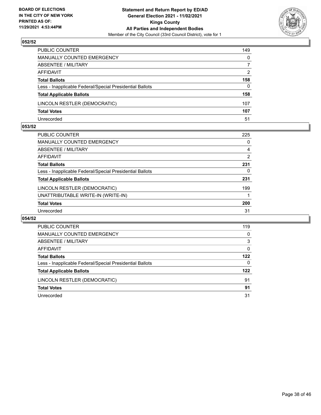

| PUBLIC COUNTER                                           | 149      |
|----------------------------------------------------------|----------|
| MANUALLY COUNTED EMERGENCY                               | $\Omega$ |
| <b>ABSENTEE / MILITARY</b>                               | 7        |
| AFFIDAVIT                                                | 2        |
| <b>Total Ballots</b>                                     | 158      |
| Less - Inapplicable Federal/Special Presidential Ballots | $\Omega$ |
| <b>Total Applicable Ballots</b>                          | 158      |
| LINCOLN RESTLER (DEMOCRATIC)                             | 107      |
| <b>Total Votes</b>                                       | 107      |
| Unrecorded                                               | 51       |

#### **053/52**

| <b>PUBLIC COUNTER</b>                                    | 225            |
|----------------------------------------------------------|----------------|
| <b>MANUALLY COUNTED EMERGENCY</b>                        | 0              |
| ABSENTEE / MILITARY                                      | 4              |
| AFFIDAVIT                                                | $\overline{2}$ |
| <b>Total Ballots</b>                                     | 231            |
| Less - Inapplicable Federal/Special Presidential Ballots | 0              |
| <b>Total Applicable Ballots</b>                          | 231            |
| LINCOLN RESTLER (DEMOCRATIC)                             | 199            |
| UNATTRIBUTABLE WRITE-IN (WRITE-IN)                       |                |
| <b>Total Votes</b>                                       | 200            |
| Unrecorded                                               | 31             |
|                                                          |                |

| PUBLIC COUNTER                                           | 119      |
|----------------------------------------------------------|----------|
| <b>MANUALLY COUNTED EMERGENCY</b>                        | $\Omega$ |
| ABSENTEE / MILITARY                                      | 3        |
| AFFIDAVIT                                                | 0        |
| <b>Total Ballots</b>                                     | 122      |
| Less - Inapplicable Federal/Special Presidential Ballots | 0        |
| <b>Total Applicable Ballots</b>                          | 122      |
| LINCOLN RESTLER (DEMOCRATIC)                             | 91       |
| <b>Total Votes</b>                                       | 91       |
| Unrecorded                                               | 31       |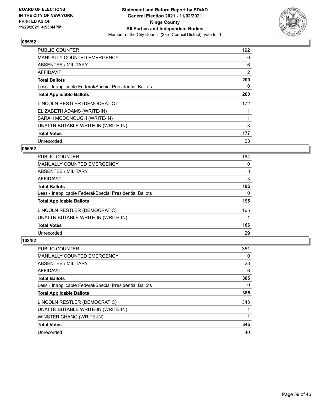

| <b>PUBLIC COUNTER</b>                                    | 192            |
|----------------------------------------------------------|----------------|
| <b>MANUALLY COUNTED EMERGENCY</b>                        | 0              |
| ABSENTEE / MILITARY                                      | 6              |
| AFFIDAVIT                                                | $\overline{2}$ |
| <b>Total Ballots</b>                                     | 200            |
| Less - Inapplicable Federal/Special Presidential Ballots | 0              |
| <b>Total Applicable Ballots</b>                          | 200            |
| LINCOLN RESTLER (DEMOCRATIC)                             | 172            |
| ELIZABETH ADAMS (WRITE-IN)                               |                |
| SARAH MCDONOUGH (WRITE-IN)                               |                |
| UNATTRIBUTABLE WRITE-IN (WRITE-IN)                       | 3              |
| <b>Total Votes</b>                                       | 177            |
| Unrecorded                                               | 23             |

## **056/52**

| <b>PUBLIC COUNTER</b>                                    | 184      |
|----------------------------------------------------------|----------|
| <b>MANUALLY COUNTED EMERGENCY</b>                        | 0        |
| ABSENTEE / MILITARY                                      | 8        |
| AFFIDAVIT                                                | 3        |
| <b>Total Ballots</b>                                     | 195      |
| Less - Inapplicable Federal/Special Presidential Ballots | $\Omega$ |
| <b>Total Applicable Ballots</b>                          | 195      |
| LINCOLN RESTLER (DEMOCRATIC)                             | 165      |
| UNATTRIBUTABLE WRITE-IN (WRITE-IN)                       |          |
| <b>Total Votes</b>                                       | 166      |
| Unrecorded                                               | 29       |
|                                                          |          |

| <b>PUBLIC COUNTER</b>                                    | 351 |
|----------------------------------------------------------|-----|
| <b>MANUALLY COUNTED EMERGENCY</b>                        | 0   |
| ABSENTEE / MILITARY                                      | 28  |
| <b>AFFIDAVIT</b>                                         | 6   |
| <b>Total Ballots</b>                                     | 385 |
| Less - Inapplicable Federal/Special Presidential Ballots | 0   |
| <b>Total Applicable Ballots</b>                          | 385 |
| LINCOLN RESTLER (DEMOCRATIC)                             | 343 |
| UNATTRIBUTABLE WRITE-IN (WRITE-IN)                       |     |
| WINSTER CHANG (WRITE-IN)                                 |     |
| <b>Total Votes</b>                                       | 345 |
| Unrecorded                                               | 40  |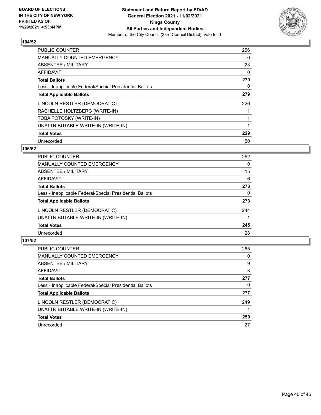

| <b>PUBLIC COUNTER</b>                                    | 256 |
|----------------------------------------------------------|-----|
| <b>MANUALLY COUNTED EMERGENCY</b>                        | 0   |
| ABSENTEE / MILITARY                                      | 23  |
| AFFIDAVIT                                                | 0   |
| <b>Total Ballots</b>                                     | 279 |
| Less - Inapplicable Federal/Special Presidential Ballots | 0   |
| <b>Total Applicable Ballots</b>                          | 279 |
| LINCOLN RESTLER (DEMOCRATIC)                             | 226 |
| RACHELLE HOLTZBERG (WRITE-IN)                            |     |
| TOBA POTOSKY (WRITE-IN)                                  |     |
| UNATTRIBUTABLE WRITE-IN (WRITE-IN)                       |     |
| <b>Total Votes</b>                                       | 229 |
| Unrecorded                                               | 50  |

## **105/52**

| PUBLIC COUNTER                                           | 252      |
|----------------------------------------------------------|----------|
| <b>MANUALLY COUNTED EMERGENCY</b>                        | $\Omega$ |
| ABSENTEE / MILITARY                                      | 15       |
| <b>AFFIDAVIT</b>                                         | 6        |
| <b>Total Ballots</b>                                     | 273      |
| Less - Inapplicable Federal/Special Presidential Ballots | 0        |
| <b>Total Applicable Ballots</b>                          | 273      |
| LINCOLN RESTLER (DEMOCRATIC)                             | 244      |
| UNATTRIBUTABLE WRITE-IN (WRITE-IN)                       |          |
| <b>Total Votes</b>                                       | 245      |
| Unrecorded                                               | 28       |

| <b>PUBLIC COUNTER</b>                                    | 265 |
|----------------------------------------------------------|-----|
| <b>MANUALLY COUNTED EMERGENCY</b>                        | 0   |
| ABSENTEE / MILITARY                                      | 9   |
| AFFIDAVIT                                                | 3   |
| <b>Total Ballots</b>                                     | 277 |
| Less - Inapplicable Federal/Special Presidential Ballots | 0   |
| <b>Total Applicable Ballots</b>                          | 277 |
| LINCOLN RESTLER (DEMOCRATIC)                             | 249 |
| UNATTRIBUTABLE WRITE-IN (WRITE-IN)                       |     |
| <b>Total Votes</b>                                       | 250 |
| Unrecorded                                               | 27  |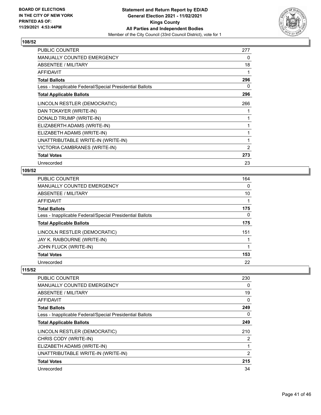

| <b>PUBLIC COUNTER</b>                                    | 277 |
|----------------------------------------------------------|-----|
| <b>MANUALLY COUNTED EMERGENCY</b>                        | 0   |
| ABSENTEE / MILITARY                                      | 18  |
| <b>AFFIDAVIT</b>                                         | 1   |
| <b>Total Ballots</b>                                     | 296 |
| Less - Inapplicable Federal/Special Presidential Ballots | 0   |
| <b>Total Applicable Ballots</b>                          | 296 |
| LINCOLN RESTLER (DEMOCRATIC)                             | 266 |
| DAN TOKAYER (WRITE-IN)                                   |     |
| DONALD TRUMP (WRITE-IN)                                  |     |
| ELIZABERTH ADAMS (WRITE-IN)                              |     |
| ELIZABETH ADAMS (WRITE-IN)                               | 1   |
| UNATTRIBUTABLE WRITE-IN (WRITE-IN)                       |     |
| VICTORIA CAMBRANES (WRITE-IN)                            | 2   |
| <b>Total Votes</b>                                       | 273 |
| Unrecorded                                               | 23  |

## **109/52**

| <b>PUBLIC COUNTER</b>                                    | 164 |
|----------------------------------------------------------|-----|
| <b>MANUALLY COUNTED EMERGENCY</b>                        | 0   |
| ABSENTEE / MILITARY                                      | 10  |
| AFFIDAVIT                                                |     |
| <b>Total Ballots</b>                                     | 175 |
| Less - Inapplicable Federal/Special Presidential Ballots | 0   |
| <b>Total Applicable Ballots</b>                          | 175 |
| LINCOLN RESTLER (DEMOCRATIC)                             | 151 |
| JAY K. RAIBOURNE (WRITE-IN)                              |     |
| JOHN FLUCK (WRITE-IN)                                    |     |
| <b>Total Votes</b>                                       | 153 |
| Unrecorded                                               | 22  |

| PUBLIC COUNTER                                           | 230            |
|----------------------------------------------------------|----------------|
| <b>MANUALLY COUNTED EMERGENCY</b>                        | 0              |
| ABSENTEE / MILITARY                                      | 19             |
| AFFIDAVIT                                                | 0              |
| <b>Total Ballots</b>                                     | 249            |
| Less - Inapplicable Federal/Special Presidential Ballots | $\Omega$       |
| <b>Total Applicable Ballots</b>                          | 249            |
| LINCOLN RESTLER (DEMOCRATIC)                             | 210            |
| CHRIS CODY (WRITE-IN)                                    | 2              |
| ELIZABETH ADAMS (WRITE-IN)                               |                |
| UNATTRIBUTABLE WRITE-IN (WRITE-IN)                       | $\overline{2}$ |
| <b>Total Votes</b>                                       | 215            |
| Unrecorded                                               | 34             |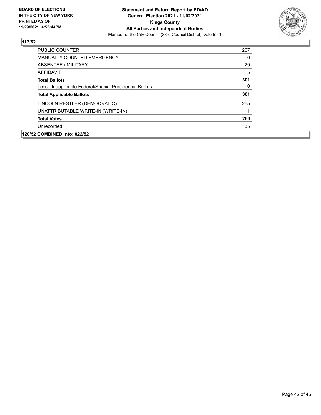

| <b>PUBLIC COUNTER</b>                                    | 267      |
|----------------------------------------------------------|----------|
| <b>MANUALLY COUNTED EMERGENCY</b>                        | $\Omega$ |
| ABSENTEE / MILITARY                                      | 29       |
| AFFIDAVIT                                                | 5        |
| <b>Total Ballots</b>                                     | 301      |
| Less - Inapplicable Federal/Special Presidential Ballots | $\Omega$ |
| <b>Total Applicable Ballots</b>                          | 301      |
| LINCOLN RESTLER (DEMOCRATIC)                             | 265      |
| UNATTRIBUTABLE WRITE-IN (WRITE-IN)                       |          |
| <b>Total Votes</b>                                       | 266      |
| Unrecorded                                               | 35       |
| 120/52 COMBINED into: 022/52                             |          |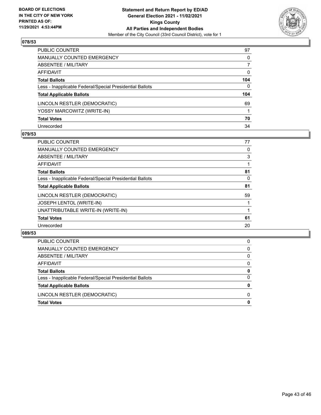

| PUBLIC COUNTER                                           | 97           |
|----------------------------------------------------------|--------------|
| <b>MANUALLY COUNTED EMERGENCY</b>                        | 0            |
| ABSENTEE / MILITARY                                      | 7            |
| AFFIDAVIT                                                | $\mathbf{0}$ |
| <b>Total Ballots</b>                                     | 104          |
| Less - Inapplicable Federal/Special Presidential Ballots | $\Omega$     |
| <b>Total Applicable Ballots</b>                          | 104          |
| LINCOLN RESTLER (DEMOCRATIC)                             | 69           |
| YOSSY MARCOWITZ (WRITE-IN)                               |              |
| <b>Total Votes</b>                                       | 70           |
| Unrecorded                                               | 34           |

#### **079/53**

| <b>PUBLIC COUNTER</b>                                    | 77 |
|----------------------------------------------------------|----|
| MANUALLY COUNTED EMERGENCY                               | 0  |
| ABSENTEE / MILITARY                                      | 3  |
| AFFIDAVIT                                                |    |
| <b>Total Ballots</b>                                     | 81 |
| Less - Inapplicable Federal/Special Presidential Ballots | 0  |
| <b>Total Applicable Ballots</b>                          | 81 |
| LINCOLN RESTLER (DEMOCRATIC)                             | 59 |
| JOSEPH LENTOL (WRITE-IN)                                 |    |
| UNATTRIBUTABLE WRITE-IN (WRITE-IN)                       |    |
| <b>Total Votes</b>                                       | 61 |
| Unrecorded                                               | 20 |

| <b>Total Votes</b>                                       | 0        |
|----------------------------------------------------------|----------|
| LINCOLN RESTLER (DEMOCRATIC)                             | 0        |
| <b>Total Applicable Ballots</b>                          | 0        |
| Less - Inapplicable Federal/Special Presidential Ballots | $\Omega$ |
| <b>Total Ballots</b>                                     | 0        |
| AFFIDAVIT                                                | 0        |
| ABSENTEE / MILITARY                                      | 0        |
| MANUALLY COUNTED EMERGENCY                               | 0        |
| <b>PUBLIC COUNTER</b>                                    | 0        |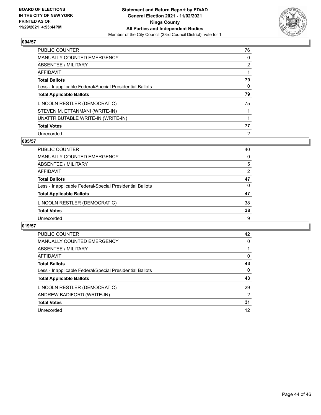

| PUBLIC COUNTER                                           | 76             |
|----------------------------------------------------------|----------------|
| <b>MANUALLY COUNTED EMERGENCY</b>                        | $\Omega$       |
| ABSENTEE / MILITARY                                      | $\overline{2}$ |
| AFFIDAVIT                                                |                |
| <b>Total Ballots</b>                                     | 79             |
| Less - Inapplicable Federal/Special Presidential Ballots | 0              |
| <b>Total Applicable Ballots</b>                          | 79             |
| LINCOLN RESTLER (DEMOCRATIC)                             | 75             |
| STEVEN M. ETTANMANI (WRITE-IN)                           |                |
| UNATTRIBUTABLE WRITE-IN (WRITE-IN)                       |                |
| <b>Total Votes</b>                                       | 77             |
| Unrecorded                                               | $\overline{2}$ |

## **005/57**

| PUBLIC COUNTER                                           | 40       |
|----------------------------------------------------------|----------|
| MANUALLY COUNTED EMERGENCY                               | $\Omega$ |
| ABSENTEE / MILITARY                                      | 5        |
| AFFIDAVIT                                                | 2        |
| <b>Total Ballots</b>                                     | 47       |
| Less - Inapplicable Federal/Special Presidential Ballots | $\Omega$ |
| <b>Total Applicable Ballots</b>                          | 47       |
| LINCOLN RESTLER (DEMOCRATIC)                             | 38       |
| <b>Total Votes</b>                                       | 38       |
| Unrecorded                                               | 9        |

| <b>PUBLIC COUNTER</b>                                    | 42            |
|----------------------------------------------------------|---------------|
| <b>MANUALLY COUNTED EMERGENCY</b>                        | 0             |
| ABSENTEE / MILITARY                                      |               |
| <b>AFFIDAVIT</b>                                         | $\Omega$      |
| <b>Total Ballots</b>                                     | 43            |
| Less - Inapplicable Federal/Special Presidential Ballots | $\Omega$      |
| <b>Total Applicable Ballots</b>                          | 43            |
| LINCOLN RESTLER (DEMOCRATIC)                             | 29            |
| ANDREW BADIFORD (WRITE-IN)                               | $\mathcal{P}$ |
| <b>Total Votes</b>                                       | 31            |
| Unrecorded                                               | 12            |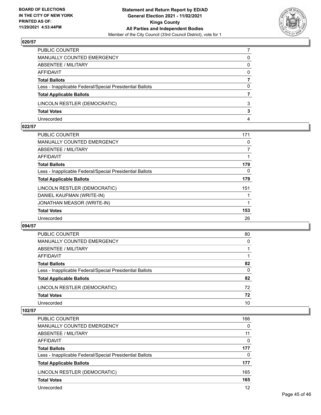

| PUBLIC COUNTER                                           |          |
|----------------------------------------------------------|----------|
| MANUALLY COUNTED EMERGENCY                               | 0        |
| ABSENTEE / MILITARY                                      | 0        |
| AFFIDAVIT                                                | $\Omega$ |
| <b>Total Ballots</b>                                     |          |
| Less - Inapplicable Federal/Special Presidential Ballots | 0        |
| <b>Total Applicable Ballots</b>                          |          |
| LINCOLN RESTLER (DEMOCRATIC)                             | 3        |
| <b>Total Votes</b>                                       | 3        |
| Unrecorded                                               | 4        |

#### **022/57**

| PUBLIC COUNTER                                           | 171            |
|----------------------------------------------------------|----------------|
| MANUALLY COUNTED EMERGENCY                               | 0              |
| ABSENTEE / MILITARY                                      | $\overline{7}$ |
| AFFIDAVIT                                                |                |
| <b>Total Ballots</b>                                     | 179            |
| Less - Inapplicable Federal/Special Presidential Ballots | 0              |
| <b>Total Applicable Ballots</b>                          | 179            |
| LINCOLN RESTLER (DEMOCRATIC)                             | 151            |
| DANIEL KAUFMAN (WRITE-IN)                                |                |
| JONATHAN MEASOR (WRITE-IN)                               |                |
| <b>Total Votes</b>                                       | 153            |
| Unrecorded                                               | 26             |
|                                                          |                |

#### **094/57**

| PUBLIC COUNTER                                           | 80       |
|----------------------------------------------------------|----------|
| MANUALLY COUNTED EMERGENCY                               | 0        |
| ABSENTEE / MILITARY                                      |          |
| AFFIDAVIT                                                |          |
| <b>Total Ballots</b>                                     | 82       |
| Less - Inapplicable Federal/Special Presidential Ballots | $\Omega$ |
| <b>Total Applicable Ballots</b>                          | 82       |
| LINCOLN RESTLER (DEMOCRATIC)                             | 72       |
| <b>Total Votes</b>                                       | 72       |
| Unrecorded                                               | 10       |

| PUBLIC COUNTER                                           | 166      |
|----------------------------------------------------------|----------|
| <b>MANUALLY COUNTED EMERGENCY</b>                        | $\Omega$ |
| ABSENTEE / MILITARY                                      | 11       |
| AFFIDAVIT                                                | $\Omega$ |
| <b>Total Ballots</b>                                     | 177      |
| Less - Inapplicable Federal/Special Presidential Ballots | $\Omega$ |
| <b>Total Applicable Ballots</b>                          | 177      |
| LINCOLN RESTLER (DEMOCRATIC)                             | 165      |
| <b>Total Votes</b>                                       | 165      |
| Unrecorded                                               | 12       |